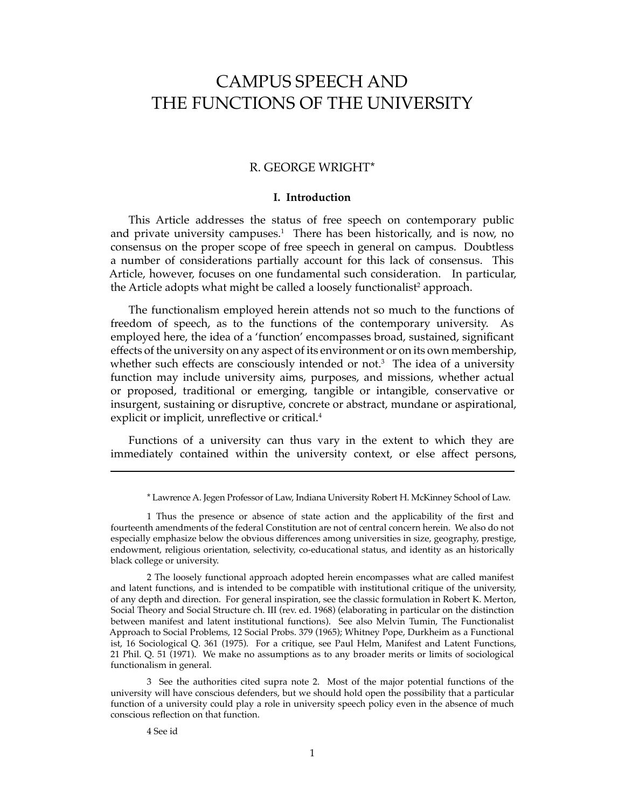# CAMPUS SPEECH AND THE FUNCTIONS OF THE UNIVERSITY

### R. GEORGE WRIGHT\*

#### **I. Introduction**

This Article addresses the status of free speech on contemporary public and private university campuses.<sup>1</sup> There has been historically, and is now, no consensus on the proper scope of free speech in general on campus. Doubtless a number of considerations partially account for this lack of consensus. This Article, however, focuses on one fundamental such consideration. In particular, the Article adopts what might be called a loosely functionalist<sup>2</sup> approach.

The functionalism employed herein attends not so much to the functions of freedom of speech, as to the functions of the contemporary university. As employed here, the idea of a 'function' encompasses broad, sustained, significant effects of the university on any aspect of its environment or on its own membership, whether such effects are consciously intended or not.<sup>3</sup> The idea of a university function may include university aims, purposes, and missions, whether actual or proposed, traditional or emerging, tangible or intangible, conservative or insurgent, sustaining or disruptive, concrete or abstract, mundane or aspirational, explicit or implicit, unreflective or critical.<sup>4</sup>

Functions of a university can thus vary in the extent to which they are immediately contained within the university context, or else affect persons,

2 The loosely functional approach adopted herein encompasses what are called manifest and latent functions, and is intended to be compatible with institutional critique of the university, of any depth and direction. For general inspiration, see the classic formulation in Robert K. Merton, Social Theory and Social Structure ch. III (rev. ed. 1968) (elaborating in particular on the distinction between manifest and latent institutional functions). See also Melvin Tumin, The Functionalist Approach to Social Problems, 12 Social Probs. 379 (1965); Whitney Pope, Durkheim as a Functional ist, 16 Sociological Q. 361 (1975). For a critique, see Paul Helm, Manifest and Latent Functions, 21 Phil. Q. 51 (1971). We make no assumptions as to any broader merits or limits of sociological functionalism in general.

3 See the authorities cited supra note 2. Most of the major potential functions of the university will have conscious defenders, but we should hold open the possibility that a particular function of a university could play a role in university speech policy even in the absence of much conscious reflection on that function.

<sup>\*</sup> Lawrence A. Jegen Professor of Law, Indiana University Robert H. McKinney School of Law.

<sup>1</sup> Thus the presence or absence of state action and the applicability of the first and fourteenth amendments of the federal Constitution are not of central concern herein. We also do not especially emphasize below the obvious differences among universities in size, geography, prestige, endowment, religious orientation, selectivity, co-educational status, and identity as an historically black college or university.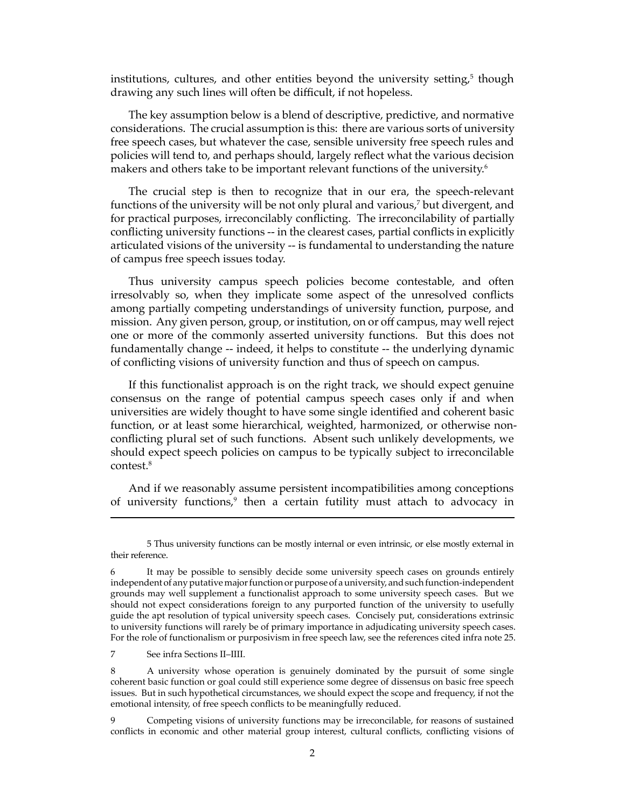institutions, cultures, and other entities beyond the university setting, $^5$  though drawing any such lines will often be difficult, if not hopeless.

The key assumption below is a blend of descriptive, predictive, and normative considerations. The crucial assumption is this: there are various sorts of university free speech cases, but whatever the case, sensible university free speech rules and policies will tend to, and perhaps should, largely reflect what the various decision makers and others take to be important relevant functions of the university.<sup>6</sup>

The crucial step is then to recognize that in our era, the speech-relevant functions of the university will be not only plural and various,<sup>7</sup> but divergent, and for practical purposes, irreconcilably conflicting. The irreconcilability of partially conflicting university functions -- in the clearest cases, partial conflicts in explicitly articulated visions of the university -- is fundamental to understanding the nature of campus free speech issues today.

Thus university campus speech policies become contestable, and often irresolvably so, when they implicate some aspect of the unresolved conflicts among partially competing understandings of university function, purpose, and mission. Any given person, group, or institution, on or off campus, may well reject one or more of the commonly asserted university functions. But this does not fundamentally change -- indeed, it helps to constitute -- the underlying dynamic of conflicting visions of university function and thus of speech on campus.

If this functionalist approach is on the right track, we should expect genuine consensus on the range of potential campus speech cases only if and when universities are widely thought to have some single identified and coherent basic function, or at least some hierarchical, weighted, harmonized, or otherwise nonconflicting plural set of such functions. Absent such unlikely developments, we should expect speech policies on campus to be typically subject to irreconcilable contest.8

And if we reasonably assume persistent incompatibilities among conceptions of university functions,<sup>9</sup> then a certain futility must attach to advocacy in

<sup>5</sup> Thus university functions can be mostly internal or even intrinsic, or else mostly external in their reference.

<sup>6</sup> It may be possible to sensibly decide some university speech cases on grounds entirely independent of any putative major function or purpose of a university, and such function-independent grounds may well supplement a functionalist approach to some university speech cases. But we should not expect considerations foreign to any purported function of the university to usefully guide the apt resolution of typical university speech cases. Concisely put, considerations extrinsic to university functions will rarely be of primary importance in adjudicating university speech cases. For the role of functionalism or purposivism in free speech law, see the references cited infra note 25.

<sup>7</sup> See infra Sections II–IIII.

<sup>8</sup> A university whose operation is genuinely dominated by the pursuit of some single coherent basic function or goal could still experience some degree of dissensus on basic free speech issues. But in such hypothetical circumstances, we should expect the scope and frequency, if not the emotional intensity, of free speech conflicts to be meaningfully reduced.

<sup>9</sup> Competing visions of university functions may be irreconcilable, for reasons of sustained conflicts in economic and other material group interest, cultural conflicts, conflicting visions of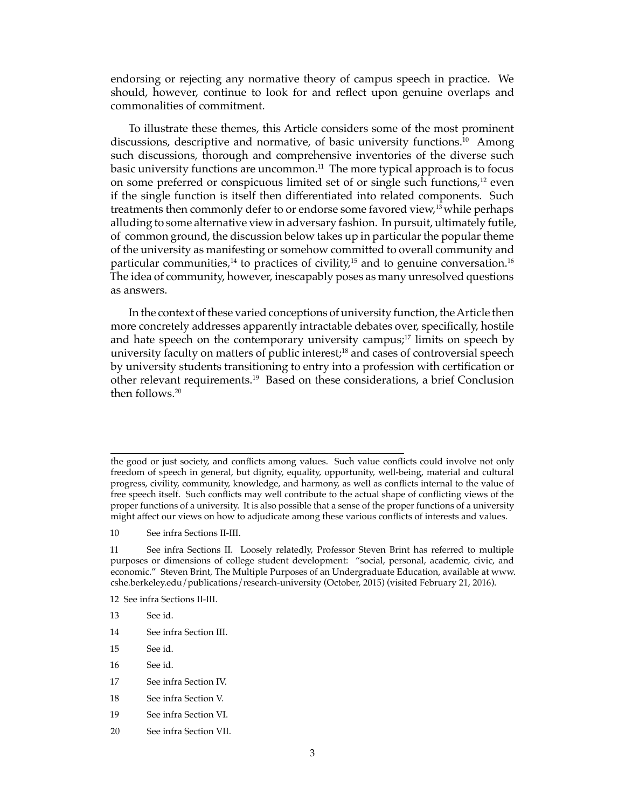endorsing or rejecting any normative theory of campus speech in practice. We should, however, continue to look for and reflect upon genuine overlaps and commonalities of commitment.

To illustrate these themes, this Article considers some of the most prominent discussions, descriptive and normative, of basic university functions.<sup>10</sup> Among such discussions, thorough and comprehensive inventories of the diverse such basic university functions are uncommon.11 The more typical approach is to focus on some preferred or conspicuous limited set of or single such functions,<sup>12</sup> even if the single function is itself then differentiated into related components. Such treatments then commonly defer to or endorse some favored view,<sup>13</sup> while perhaps alluding to some alternative view in adversary fashion. In pursuit, ultimately futile, of common ground, the discussion below takes up in particular the popular theme of the university as manifesting or somehow committed to overall community and particular communities, $^{14}$  to practices of civility, $^{15}$  and to genuine conversation. $^{16}$ The idea of community, however, inescapably poses as many unresolved questions as answers.

In the context of these varied conceptions of university function, the Article then more concretely addresses apparently intractable debates over, specifically, hostile and hate speech on the contemporary university campus;<sup>17</sup> limits on speech by university faculty on matters of public interest;<sup>18</sup> and cases of controversial speech by university students transitioning to entry into a profession with certification or other relevant requirements.19 Based on these considerations, a brief Conclusion then follows.<sup>20</sup>

- 12 See infra Sections II-III.
- 13 See id.
- 14 See infra Section III.
- 15 See id.
- 16 See id.
- 17 See infra Section IV.
- 18 See infra Section V.
- 19 See infra Section VI.
- 20 See infra Section VII.

the good or just society, and conflicts among values. Such value conflicts could involve not only freedom of speech in general, but dignity, equality, opportunity, well-being, material and cultural progress, civility, community, knowledge, and harmony, as well as conflicts internal to the value of free speech itself. Such conflicts may well contribute to the actual shape of conflicting views of the proper functions of a university. It is also possible that a sense of the proper functions of a university might affect our views on how to adjudicate among these various conflicts of interests and values.

<sup>10</sup> See infra Sections II-III.

<sup>11</sup> See infra Sections II. Loosely relatedly, Professor Steven Brint has referred to multiple purposes or dimensions of college student development: "social, personal, academic, civic, and economic." Steven Brint, The Multiple Purposes of an Undergraduate Education, available at [www.](http://www.cshe.berkeley.edu/publications/research-university) [cshe.berkeley.edu/publications/research-university](http://www.cshe.berkeley.edu/publications/research-university) (October, 2015) (visited February 21, 2016).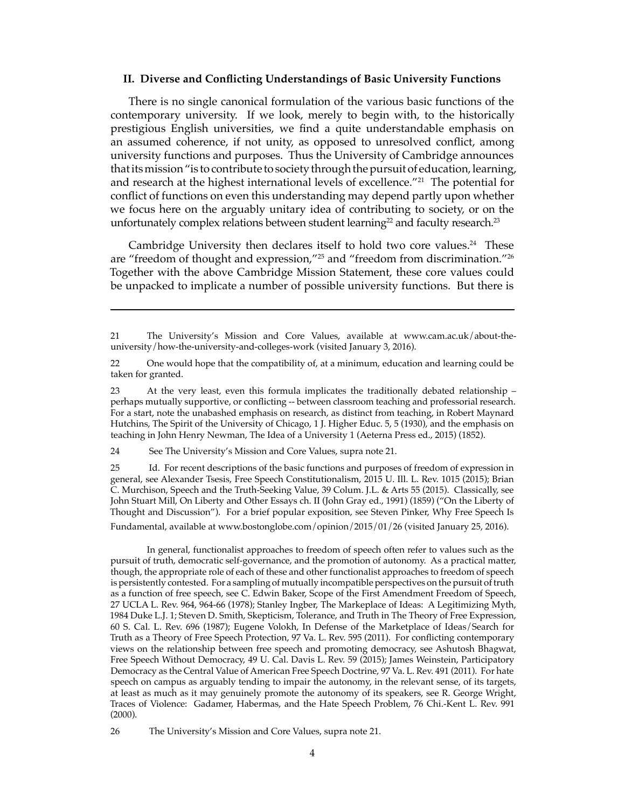### **II. Diverse and Conflicting Understandings of Basic University Functions**

There is no single canonical formulation of the various basic functions of the contemporary university. If we look, merely to begin with, to the historically prestigious English universities, we find a quite understandable emphasis on an assumed coherence, if not unity, as opposed to unresolved conflict, among university functions and purposes. Thus the University of Cambridge announces that its mission "is to contribute to society through the pursuit of education, learning, and research at the highest international levels of excellence."21 The potential for conflict of functions on even this understanding may depend partly upon whether we focus here on the arguably unitary idea of contributing to society, or on the unfortunately complex relations between student learning<sup>22</sup> and faculty research.<sup>23</sup>

Cambridge University then declares itself to hold two core values.<sup>24</sup> These are "freedom of thought and expression,"25 and "freedom from discrimination."26 Together with the above Cambridge Mission Statement, these core values could be unpacked to implicate a number of possible university functions. But there is

24 See The University's Mission and Core Values, supra note 21.

25 Id. For recent descriptions of the basic functions and purposes of freedom of expression in general, see Alexander Tsesis, Free Speech Constitutionalism, 2015 U. Ill. L. Rev. 1015 (2015); Brian C. Murchison, Speech and the Truth-Seeking Value, 39 Colum. J.L. & Arts 55 (2015). Classically, see John Stuart Mill, On Liberty and Other Essays ch. II (John Gray ed., 1991) (1859) ("On the Liberty of Thought and Discussion"). For a brief popular exposition, see Steven Pinker, Why Free Speech Is

Fundamental, available at [www.bostonglobe.com/opinion/2015/01/26](http://www.bostonglobe.com/opinion/2015/01/26) (visited January 25, 2016).

In general, functionalist approaches to freedom of speech often refer to values such as the pursuit of truth, democratic self-governance, and the promotion of autonomy. As a practical matter, though, the appropriate role of each of these and other functionalist approaches to freedom of speech is persistently contested. For a sampling of mutually incompatible perspectives on the pursuit of truth as a function of free speech, see C. Edwin Baker, Scope of the First Amendment Freedom of Speech, 27 UCLA L. Rev. 964, 964-66 (1978); Stanley Ingber, The Markeplace of Ideas: A Legitimizing Myth, 1984 Duke L.J. 1; Steven D. Smith, Skepticism, Tolerance, and Truth in The Theory of Free Expression, 60 S. Cal. L. Rev. 696 (1987); Eugene Volokh, In Defense of the Marketplace of Ideas/Search for Truth as a Theory of Free Speech Protection, 97 Va. L. Rev. 595 (2011). For conflicting contemporary views on the relationship between free speech and promoting democracy, see Ashutosh Bhagwat, Free Speech Without Democracy, 49 U. Cal. Davis L. Rev. 59 (2015); James Weinstein, Participatory Democracy as the Central Value of American Free Speech Doctrine, 97 Va. L. Rev. 491 (2011). For hate speech on campus as arguably tending to impair the autonomy, in the relevant sense, of its targets, at least as much as it may genuinely promote the autonomy of its speakers, see R. George Wright, Traces of Violence: Gadamer, Habermas, and the Hate Speech Problem, 76 Chi.-Kent L. Rev. 991 (2000).

26 The University's Mission and Core Values, supra note 21.

<sup>21</sup> The University's Mission and Core Values, available at [www.cam.ac.uk/about-the](http://www.cam.ac.uk/about-the-university/how-the-university-and-colleges-work)[university/how-the-university-and-colleges-work](http://www.cam.ac.uk/about-the-university/how-the-university-and-colleges-work) (visited January 3, 2016).

<sup>22</sup> One would hope that the compatibility of, at a minimum, education and learning could be taken for granted.

<sup>23</sup> At the very least, even this formula implicates the traditionally debated relationship – perhaps mutually supportive, or conflicting -- between classroom teaching and professorial research. For a start, note the unabashed emphasis on research, as distinct from teaching, in Robert Maynard Hutchins, The Spirit of the University of Chicago, 1 J. Higher Educ. 5, 5 (1930), and the emphasis on teaching in John Henry Newman, The Idea of a University 1 (Aeterna Press ed., 2015) (1852).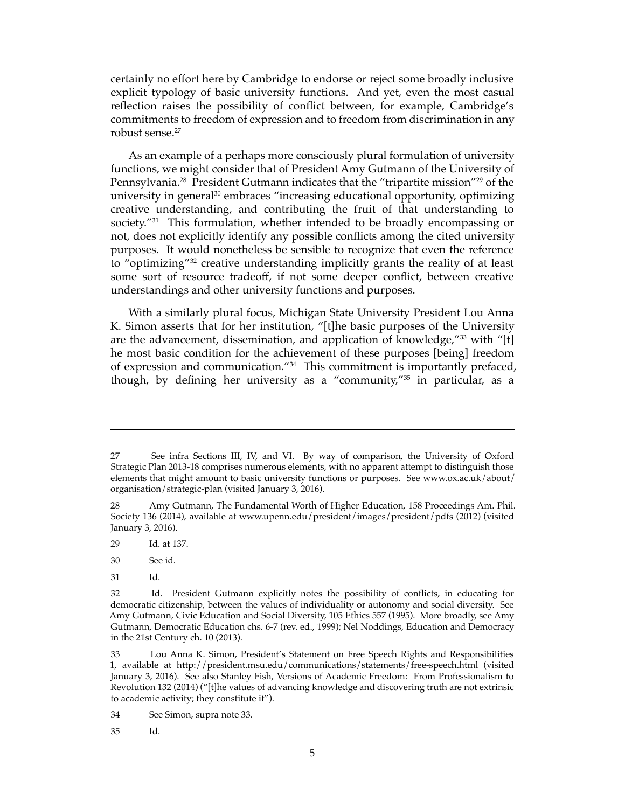certainly no effort here by Cambridge to endorse or reject some broadly inclusive explicit typology of basic university functions. And yet, even the most casual reflection raises the possibility of conflict between, for example, Cambridge's commitments to freedom of expression and to freedom from discrimination in any robust sense.27

As an example of a perhaps more consciously plural formulation of university functions, we might consider that of President Amy Gutmann of the University of Pennsylvania.<sup>28</sup> President Gutmann indicates that the "tripartite mission"<sup>29</sup> of the university in general<sup>30</sup> embraces "increasing educational opportunity, optimizing creative understanding, and contributing the fruit of that understanding to society."<sup>31</sup> This formulation, whether intended to be broadly encompassing or not, does not explicitly identify any possible conflicts among the cited university purposes. It would nonetheless be sensible to recognize that even the reference to "optimizing"32 creative understanding implicitly grants the reality of at least some sort of resource tradeoff, if not some deeper conflict, between creative understandings and other university functions and purposes.

With a similarly plural focus, Michigan State University President Lou Anna K. Simon asserts that for her institution, "[t]he basic purposes of the University are the advancement, dissemination, and application of knowledge,"<sup>33</sup> with "[t] he most basic condition for the achievement of these purposes [being] freedom of expression and communication."34 This commitment is importantly prefaced, though, by defining her university as a "community,"35 in particular, as a

31 Id.

35 Id.

<sup>27</sup> See infra Sections III, IV, and VI. By way of comparison, the University of Oxford Strategic Plan 2013-18 comprises numerous elements, with no apparent attempt to distinguish those elements that might amount to basic university functions or purposes. See [www.ox.ac.uk/about/](http://www.ox.ac.uk/about/organisation/strategic-plan) [organisation/strategic-plan](http://www.ox.ac.uk/about/organisation/strategic-plan) (visited January 3, 2016).

<sup>28</sup> Amy Gutmann, The Fundamental Worth of Higher Education, 158 Proceedings Am. Phil. Society 136 (2014), available at [www.upenn.edu/president/images/president/pdfs](http://www.upenn.edu/president/images/president/pdfs) (2012) (visited January 3, 2016).

<sup>29</sup> Id. at 137.

<sup>30</sup> See id.

<sup>32</sup> Id. President Gutmann explicitly notes the possibility of conflicts, in educating for democratic citizenship, between the values of individuality or autonomy and social diversity. See Amy Gutmann, Civic Education and Social Diversity, 105 Ethics 557 (1995). More broadly, see Amy Gutmann, Democratic Education chs. 6-7 (rev. ed., 1999); Nel Noddings, Education and Democracy in the 21st Century ch. 10 (2013).

<sup>33</sup> Lou Anna K. Simon, President's Statement on Free Speech Rights and Responsibilities 1, available at <http://president.msu.edu/communications/statements/free-speech.html>(visited January 3, 2016). See also Stanley Fish, Versions of Academic Freedom: From Professionalism to Revolution 132 (2014) ("[t]he values of advancing knowledge and discovering truth are not extrinsic to academic activity; they constitute it").

<sup>34</sup> See Simon, supra note 33.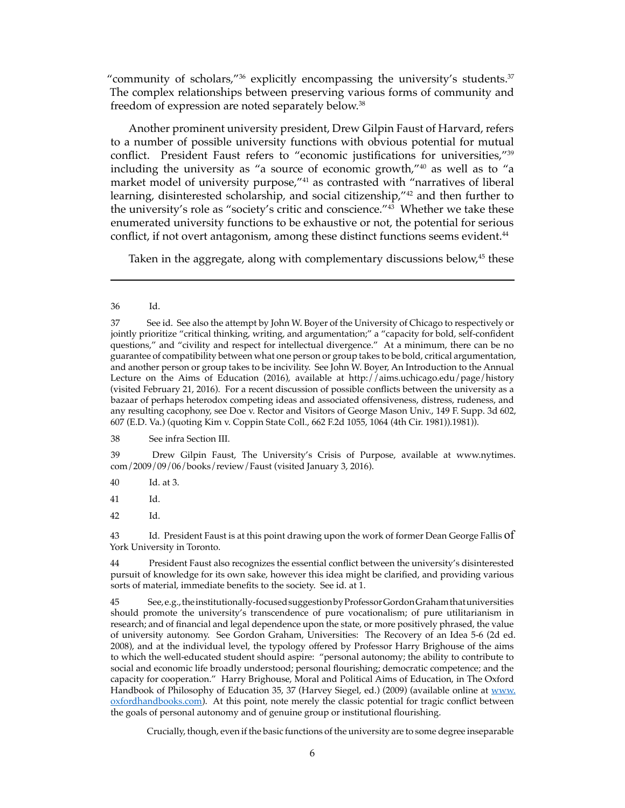"community of scholars,"<sup>36</sup> explicitly encompassing the university's students.<sup>37</sup> The complex relationships between preserving various forms of community and freedom of expression are noted separately below.<sup>38</sup>

Another prominent university president, Drew Gilpin Faust of Harvard, refers to a number of possible university functions with obvious potential for mutual conflict. President Faust refers to "economic justifications for universities,"<sup>39</sup> including the university as "a source of economic growth,"40 as well as to "a market model of university purpose,"<sup>41</sup> as contrasted with "narratives of liberal learning, disinterested scholarship, and social citizenship,"42 and then further to the university's role as "society's critic and conscience."43 Whether we take these enumerated university functions to be exhaustive or not, the potential for serious conflict, if not overt antagonism, among these distinct functions seems evident.<sup>44</sup>

Taken in the aggregate, along with complementary discussions below,<sup>45</sup> these

38 See infra Section III.

39 Drew Gilpin Faust, The University's Crisis of Purpose, available at [www.nytimes.](http://www.nytimes.com/2009/09/06/books/review/Faust) [com/2009/09/06/books/review/Faust](http://www.nytimes.com/2009/09/06/books/review/Faust) (visited January 3, 2016).

40 Id. at 3.

41 Id.

42 Id.

43 Id. President Faust is at this point drawing upon the work of former Dean George Fallis  $of$ York University in Toronto.

44 President Faust also recognizes the essential conflict between the university's disinterested pursuit of knowledge for its own sake, however this idea might be clarified, and providing various sorts of material, immediate benefits to the society. See id. at 1.

45 See, e.g., the institutionally-focused suggestion by Professor Gordon Graham that universities should promote the university's transcendence of pure vocationalism; of pure utilitarianism in research; and of financial and legal dependence upon the state, or more positively phrased, the value of university autonomy. See Gordon Graham, Universities: The Recovery of an Idea 5-6 (2d ed. 2008), and at the individual level, the typology offered by Professor Harry Brighouse of the aims to which the well-educated student should aspire: "personal autonomy; the ability to contribute to social and economic life broadly understood; personal flourishing; democratic competence; and the capacity for cooperation." Harry Brighouse, Moral and Political Aims of Education, in The Oxford Handbook of Philosophy of Education 35, 37 (Harvey Siegel, ed.) (2009) (available online at [www.](http://www.oxfordhandbooks.com) [oxfordhandbooks.com\)](http://www.oxfordhandbooks.com). At this point, note merely the classic potential for tragic conflict between the goals of personal autonomy and of genuine group or institutional flourishing.

Crucially, though, even if the basic functions of the university are to some degree inseparable

<sup>36</sup> Id.

<sup>37</sup> See id. See also the attempt by John W. Boyer of the University of Chicago to respectively or jointly prioritize "critical thinking, writing, and argumentation;" a "capacity for bold, self-confident questions," and "civility and respect for intellectual divergence." At a minimum, there can be no guarantee of compatibility between what one person or group takes to be bold, critical argumentation, and another person or group takes to be incivility. See John W. Boyer, An Introduction to the Annual Lecture on the Aims of Education (2016), available at http://aims.uchicago.edu/page/history (visited February 21, 2016). For a recent discussion of possible conflicts between the university as a bazaar of perhaps heterodox competing ideas and associated offensiveness, distress, rudeness, and any resulting cacophony, see Doe v. Rector and Visitors of George Mason Univ., 149 F. Supp. 3d 602, 607 (E.D. Va.) (quoting Kim v. Coppin State Coll., 662 F.2d 1055, 1064 (4th Cir. 1981)).1981)).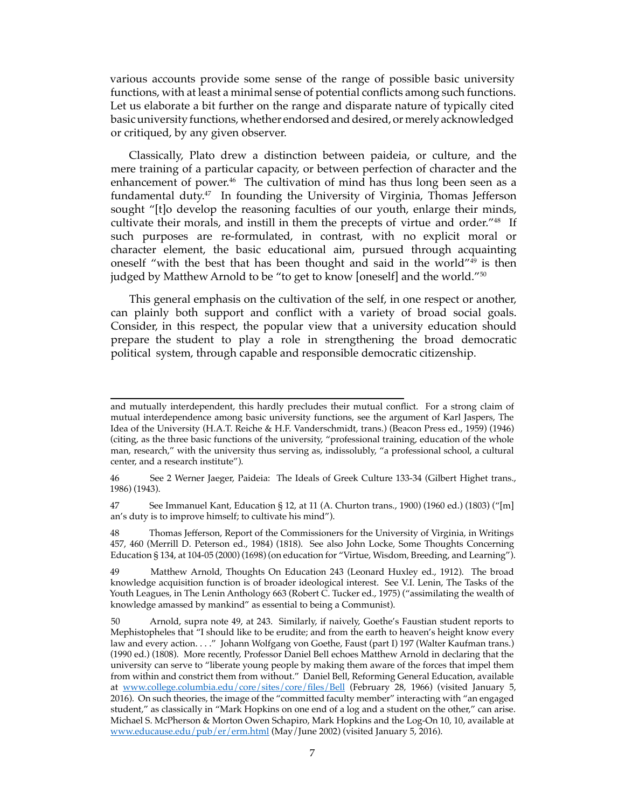various accounts provide some sense of the range of possible basic university functions, with at least a minimal sense of potential conflicts among such functions. Let us elaborate a bit further on the range and disparate nature of typically cited basic university functions, whether endorsed and desired,or merelyacknowledged or critiqued, by any given observer.

Classically, Plato drew a distinction between paideia, or culture, and the mere training of a particular capacity, or between perfection of character and the enhancement of power.<sup>46</sup> The cultivation of mind has thus long been seen as a fundamental duty.<sup>47</sup> In founding the University of Virginia, Thomas Jefferson sought "[t]o develop the reasoning faculties of our youth, enlarge their minds, cultivate their morals, and instill in them the precepts of virtue and order."<sup>48</sup> If such purposes are re-formulated, in contrast, with no explicit moral or character element, the basic educational aim, pursued through acquainting oneself "with the best that has been thought and said in the world"<sup>49</sup> is then judged by Matthew Arnold to be "to get to know [oneself] and the world."<sup>50</sup>

This general emphasis on the cultivation of the self, in one respect or another, can plainly both support and conflict with a variety of broad social goals. Consider, in this respect, the popular view that a university education should prepare the student to play a role in strengthening the broad democratic political system, through capable and responsible democratic citizenship.

47 See Immanuel Kant, Education § 12, at 11 (A. Churton trans., 1900) (1960 ed.) (1803) ("[m] an's duty is to improve himself; to cultivate his mind").

and mutually interdependent, this hardly precludes their mutual conflict. For a strong claim of mutual interdependence among basic university functions, see the argument of Karl Jaspers, The Idea of the University (H.A.T. Reiche & H.F. Vanderschmidt, trans.) (Beacon Press ed., 1959) (1946) (citing, as the three basic functions of the university, "professional training, education of the whole man, research," with the university thus serving as, indissolubly, "a professional school, a cultural center, and a research institute").

<sup>46</sup> See 2 Werner Jaeger, Paideia: The Ideals of Greek Culture 133-34 (Gilbert Highet trans., 1986) (1943).

Thomas Jefferson, Report of the Commissioners for the University of Virginia, in Writings 457, 460 (Merrill D. Peterson ed., 1984) (1818). See also John Locke, Some Thoughts Concerning Education § 134, at 104-05 (2000) (1698) (on education for "Virtue, Wisdom, Breeding, and Learning").

<sup>49</sup> Matthew Arnold, Thoughts On Education 243 (Leonard Huxley ed., 1912). The broad knowledge acquisition function is of broader ideological interest. See V.I. Lenin, The Tasks of the Youth Leagues, in The Lenin Anthology 663 (Robert C. Tucker ed., 1975) ("assimilating the wealth of knowledge amassed by mankind" as essential to being a Communist).

<sup>50</sup> Arnold, supra note 49, at 243. Similarly, if naively, Goethe's Faustian student reports to Mephistopheles that "I should like to be erudite; and from the earth to heaven's height know every law and every action. . . ." Johann Wolfgang von Goethe, Faust (part I) 197 (Walter Kaufman trans.) (1990 ed.) (1808). More recently, Professor Daniel Bell echoes Matthew Arnold in declaring that the university can serve to "liberate young people by making them aware of the forces that impel them from within and constrict them from without." Daniel Bell, Reforming General Education, available at [www.college.columbia.edu/core/sites/core/files/Bell](http://www.college.columbia.edu/core/sites/core/files/Bell) (February 28, 1966) (visited January 5, 2016). On such theories, the image of the "committed faculty member" interacting with "an engaged student," as classically in "Mark Hopkins on one end of a log and a student on the other," can arise. Michael S. McPherson & Morton Owen Schapiro, Mark Hopkins and the Log-On 10, 10, available at [www.educause.edu/pub/er/erm.html](http://www.educause.edu/pub/er/erm.html) (May/June 2002) (visited January 5, 2016).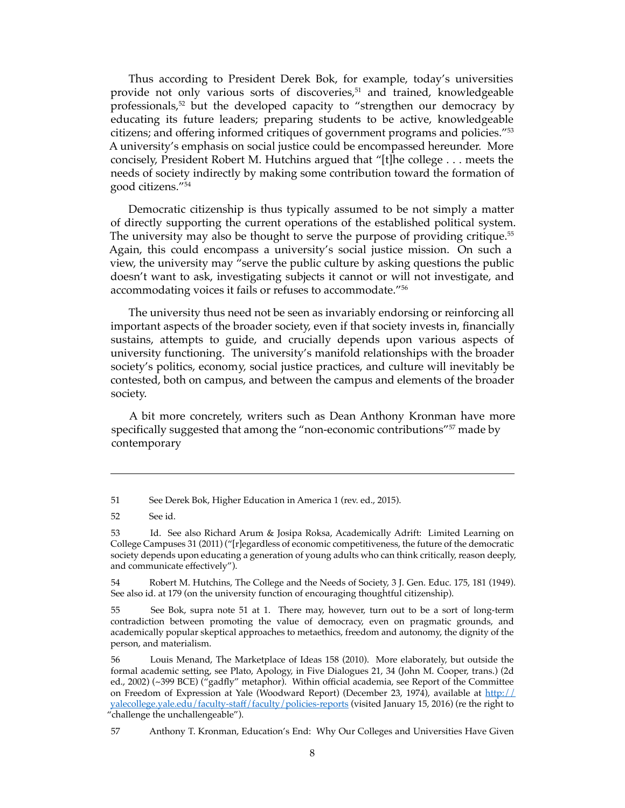Thus according to President Derek Bok, for example, today's universities provide not only various sorts of discoveries,<sup>51</sup> and trained, knowledgeable professionals, $52$  but the developed capacity to "strengthen our democracy by educating its future leaders; preparing students to be active, knowledgeable citizens; and offering informed critiques of government programs and policies."<sup>53</sup> A university's emphasis on social justice could be encompassed hereunder. More concisely, President Robert M. Hutchins argued that "[t]he college . . . meets the needs of society indirectly by making some contribution toward the formation of good citizens."<sup>54</sup>

Democratic citizenship is thus typically assumed to be not simply a matter of directly supporting the current operations of the established political system. The university may also be thought to serve the purpose of providing critique.<sup>55</sup> Again, this could encompass a university's social justice mission. On such a view, the university may "serve the public culture by asking questions the public doesn't want to ask, investigating subjects it cannot or will not investigate, and accommodating voices it fails or refuses to accommodate."<sup>56</sup>

The university thus need not be seen as invariably endorsing or reinforcing all important aspects of the broader society, even if that society invests in, financially sustains, attempts to guide, and crucially depends upon various aspects of university functioning. The university's manifold relationships with the broader society's politics, economy, social justice practices, and culture will inevitably be contested, both on campus, and between the campus and elements of the broader society.

A bit more concretely, writers such as Dean Anthony Kronman have more specifically suggested that among the "non-economic contributions"<sup>57</sup> made by contemporary

54 Robert M. Hutchins, The College and the Needs of Society, 3 J. Gen. Educ. 175, 181 (1949). See also id. at 179 (on the university function of encouraging thoughtful citizenship).

55 See Bok, supra note 51 at 1. There may, however, turn out to be a sort of long-term contradiction between promoting the value of democracy, even on pragmatic grounds, and academically popular skeptical approaches to metaethics, freedom and autonomy, the dignity of the person, and materialism.

<sup>51</sup> See Derek Bok, Higher Education in America 1 (rev. ed., 2015).

<sup>52</sup> See id.

<sup>53</sup> Id. See also Richard Arum & Josipa Roksa, Academically Adrift: Limited Learning on College Campuses 31 (2011) ("[r]egardless of economic competitiveness, the future of the democratic society depends upon educating a generation of young adults who can think critically, reason deeply, and communicate effectively").

<sup>56</sup> Louis Menand, The Marketplace of Ideas 158 (2010). More elaborately, but outside the formal academic setting, see Plato, Apology, in Five Dialogues 21, 34 (John M. Cooper, trans.) (2d ed., 2002) (~399 BCE) ("gadfly" metaphor). Within official academia, see Report of the Committee on Freedom of Expression at Yale (Woodward Report) (December 23, 1974), available at [http://](http://yalecollege.yale.edu/faculty-staff/faculty/policies-reports) [yalecollege.yale.edu/faculty-staff/faculty/policies-reports](http://yalecollege.yale.edu/faculty-staff/faculty/policies-reports) (visited January 15, 2016) (re the right to "challenge the unchallengeable").

<sup>57</sup> Anthony T. Kronman, Education's End: Why Our Colleges and Universities Have Given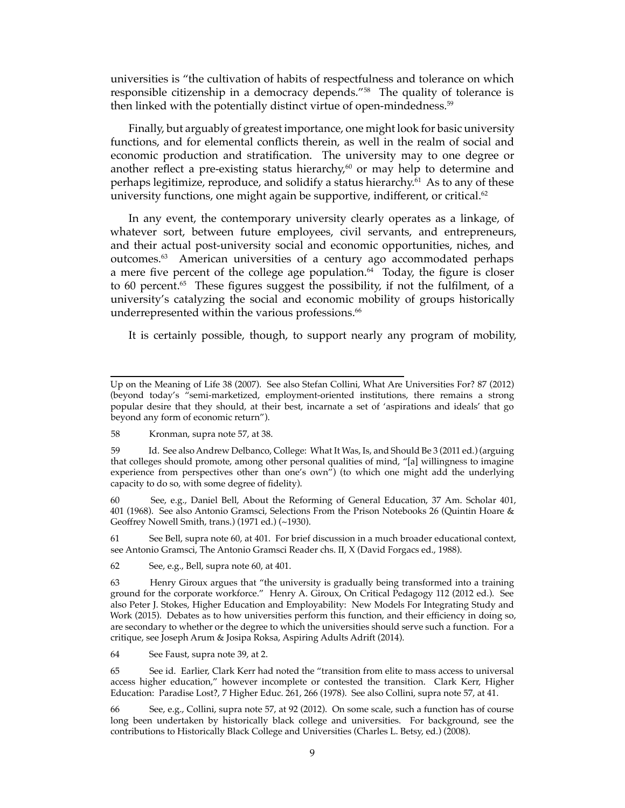universities is "the cultivation of habits of respectfulness and tolerance on which responsible citizenship in a democracy depends."<sup>58</sup> The quality of tolerance is then linked with the potentially distinct virtue of open-mindedness.<sup>59</sup>

Finally, but arguably of greatest importance, one might look for basic university functions, and for elemental conflicts therein, as well in the realm of social and economic production and stratification. The university may to one degree or another reflect a pre-existing status hierarchy, $60$  or may help to determine and perhaps legitimize, reproduce, and solidify a status hierarchy.61 As to any of these university functions, one might again be supportive, indifferent, or critical. $62$ 

In any event, the contemporary university clearly operates as a linkage, of whatever sort, between future employees, civil servants, and entrepreneurs, and their actual post-university social and economic opportunities, niches, and outcomes.63 American universities of a century ago accommodated perhaps a mere five percent of the college age population. $64$  Today, the figure is closer to 60 percent.<sup>65</sup> These figures suggest the possibility, if not the fulfilment, of a university's catalyzing the social and economic mobility of groups historically underrepresented within the various professions.<sup>66</sup>

It is certainly possible, though, to support nearly any program of mobility,

60 See, e.g., Daniel Bell, About the Reforming of General Education, 37 Am. Scholar 401, 401 (1968). See also Antonio Gramsci, Selections From the Prison Notebooks 26 (Quintin Hoare & Geoffrey Nowell Smith, trans.) (1971 ed.) (~1930).

61 See Bell, supra note 60, at 401. For brief discussion in a much broader educational context, see Antonio Gramsci, The Antonio Gramsci Reader chs. II, X (David Forgacs ed., 1988).

62 See, e.g., Bell, supra note 60, at 401.

63 Henry Giroux argues that "the university is gradually being transformed into a training ground for the corporate workforce." Henry A. Giroux, On Critical Pedagogy 112 (2012 ed.). See also Peter J. Stokes, Higher Education and Employability: New Models For Integrating Study and Work (2015). Debates as to how universities perform this function, and their efficiency in doing so, are secondary to whether or the degree to which the universities should serve such a function. For a critique, see Joseph Arum & Josipa Roksa, Aspiring Adults Adrift (2014).

64 See Faust, supra note 39, at 2.

65 See id. Earlier, Clark Kerr had noted the "transition from elite to mass access to universal access higher education," however incomplete or contested the transition. Clark Kerr, Higher Education: Paradise Lost?, 7 Higher Educ. 261, 266 (1978). See also Collini, supra note 57, at 41.

66 See, e.g., Collini, supra note 57, at 92 (2012). On some scale, such a function has of course long been undertaken by historically black college and universities. For background, see the contributions to Historically Black College and Universities (Charles L. Betsy, ed.) (2008).

Up on the Meaning of Life 38 (2007). See also Stefan Collini, What Are Universities For? 87 (2012) (beyond today's "semi-marketized, employment-oriented institutions, there remains a strong popular desire that they should, at their best, incarnate a set of 'aspirations and ideals' that go beyond any form of economic return").

<sup>58</sup> Kronman, supra note 57, at 38.

<sup>59</sup> Id. See also Andrew Delbanco, College: What It Was, Is, and Should Be 3 (2011 ed.) (arguing that colleges should promote, among other personal qualities of mind, "[a] willingness to imagine experience from perspectives other than one's own") (to which one might add the underlying capacity to do so, with some degree of fidelity).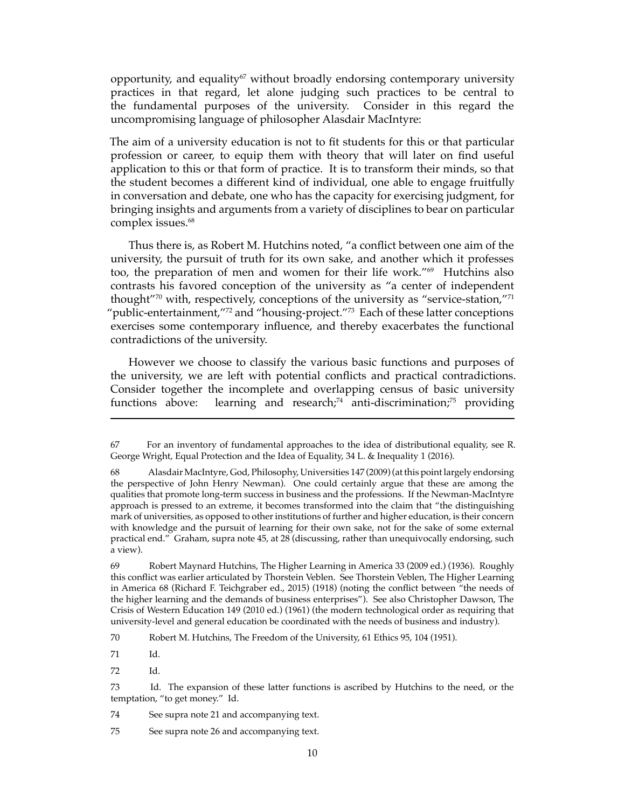opportunity, and equality $67$  without broadly endorsing contemporary university practices in that regard, let alone judging such practices to be central to the fundamental purposes of the university. Consider in this regard the uncompromising language of philosopher Alasdair MacIntyre:

The aim of a university education is not to fit students for this or that particular profession or career, to equip them with theory that will later on find useful application to this or that form of practice. It is to transform their minds, so that the student becomes a different kind of individual, one able to engage fruitfully in conversation and debate, one who has the capacity for exercising judgment, for bringing insights and arguments from a variety of disciplines to bear on particular complex issues.<sup>68</sup>

Thus there is, as Robert M. Hutchins noted, "a conflict between one aim of the university, the pursuit of truth for its own sake, and another which it professes too, the preparation of men and women for their life work."69 Hutchins also contrasts his favored conception of the university as "a center of independent thought"70 with, respectively, conceptions of the university as "service-station,"<sup>71</sup> "public-entertainment,"72 and "housing-project."73 Each of these latter conceptions exercises some contemporary influence, and thereby exacerbates the functional contradictions of the university.

However we choose to classify the various basic functions and purposes of the university, we are left with potential conflicts and practical contradictions. Consider together the incomplete and overlapping census of basic university functions above: learning and research; $74$  anti-discrimination; $75$  providing

70 Robert M. Hutchins, The Freedom of the University, 61 Ethics 95, 104 (1951).

71 Id.

72 Id.

74 See supra note 21 and accompanying text.

75 See supra note 26 and accompanying text.

<sup>67</sup> For an inventory of fundamental approaches to the idea of distributional equality, see R. George Wright, Equal Protection and the Idea of Equality, 34 L. & Inequality 1 (2016).

<sup>68</sup> Alasdair MacIntyre, God, Philosophy, Universities 147 (2009) (at this point largely endorsing the perspective of John Henry Newman). One could certainly argue that these are among the qualities that promote long-term success in business and the professions. If the Newman-MacIntyre approach is pressed to an extreme, it becomes transformed into the claim that "the distinguishing mark of universities, as opposed to other institutions of further and higher education, is their concern with knowledge and the pursuit of learning for their own sake, not for the sake of some external practical end." Graham, supra note 45, at 28 (discussing, rather than unequivocally endorsing, such a view).

<sup>69</sup> Robert Maynard Hutchins, The Higher Learning in America 33 (2009 ed.) (1936). Roughly this conflict was earlier articulated by Thorstein Veblen. See Thorstein Veblen, The Higher Learning in America 68 (Richard F. Teichgraber ed., 2015) (1918) (noting the conflict between "the needs of the higher learning and the demands of business enterprises"). See also Christopher Dawson, The Crisis of Western Education 149 (2010 ed.) (1961) (the modern technological order as requiring that university-level and general education be coordinated with the needs of business and industry).

<sup>73</sup> Id. The expansion of these latter functions is ascribed by Hutchins to the need, or the temptation, "to get money." Id.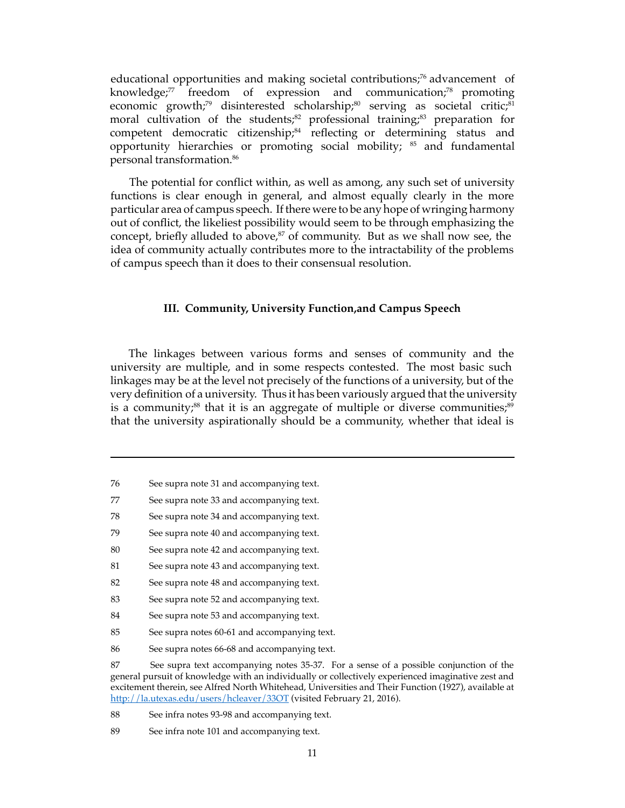educational opportunities and making societal contributions;<sup>76</sup> advancement of knowledge;<sup>77</sup> freedom of expression and communication;<sup>78</sup> promoting economic growth;<sup>79</sup> disinterested scholarship; $80$  serving as societal critic; $81$ moral cultivation of the students;<sup>82</sup> professional training;<sup>83</sup> preparation for competent democratic citizenship; $84$  reflecting or determining status and opportunity hierarchies or promoting social mobility;  $85$  and fundamental personal transformation.<sup>86</sup>

The potential for conflict within, as well as among, any such set of university functions is clear enough in general, and almost equally clearly in the more particular area of campus speech. If there were to be any hope of wringing harmony out of conflict, the likeliest possibility would seem to be through emphasizing the concept, briefly alluded to above,<sup>87</sup> of community. But as we shall now see, the idea of community actually contributes more to the intractability of the problems of campus speech than it does to their consensual resolution.

### **III. Community, University Function,and Campus Speech**

The linkages between various forms and senses of community and the university are multiple, and in some respects contested. The most basic such linkages may be at the level not precisely of the functions of a university, but of the very definition of a university. Thus it has been variously argued that the university is a community;<sup>88</sup> that it is an aggregate of multiple or diverse communities;<sup>89</sup> that the university aspirationally should be a community, whether that ideal is

- 78 See supra note 34 and accompanying text.
- 79 See supra note 40 and accompanying text.
- 80 See supra note 42 and accompanying text.
- 81 See supra note 43 and accompanying text.
- 82 See supra note 48 and accompanying text.
- 83 See supra note 52 and accompanying text.
- 84 See supra note 53 and accompanying text.
- 85 See supra notes 60-61 and accompanying text.
- 86 See supra notes 66-68 and accompanying text.

<sup>76</sup> See supra note 31 and accompanying text.

<sup>77</sup> See supra note 33 and accompanying text.

<sup>87</sup> See supra text accompanying notes 35-37. For a sense of a possible conjunction of the general pursuit of knowledge with an individually or collectively experienced imaginative zest and excitement therein, see Alfred North Whitehead, Universities and Their Function (1927), available at <http://la.utexas.edu/users/hcleaver/33OT> (visited February 21, 2016).

<sup>88</sup> See infra notes 93-98 and accompanying text.

<sup>89</sup> See infra note 101 and accompanying text.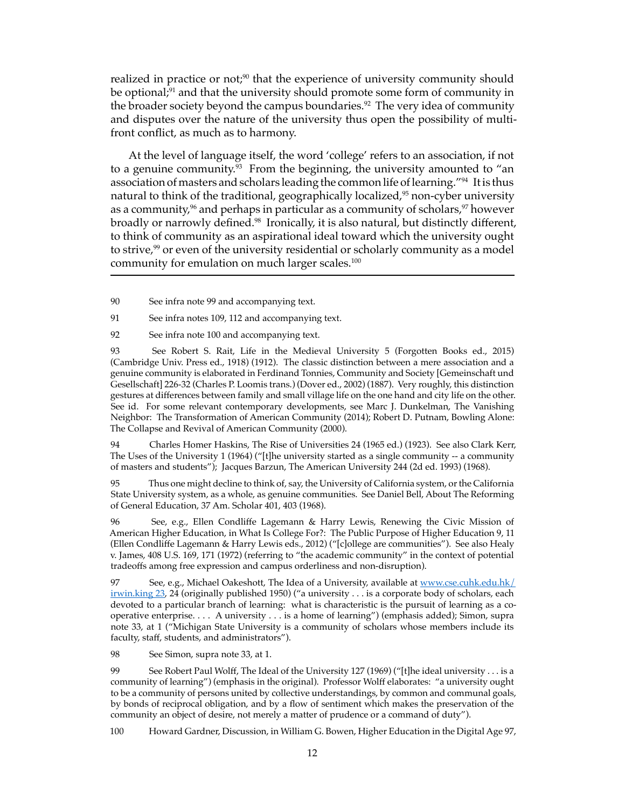realized in practice or not;<sup>90</sup> that the experience of university community should be optional; $91$  and that the university should promote some form of community in the broader society beyond the campus boundaries.<sup>92</sup> The very idea of community and disputes over the nature of the university thus open the possibility of multifront conflict, as much as to harmony.

At the level of language itself, the word 'college' refers to an association, if not to a genuine community.<sup>93</sup> From the beginning, the university amounted to "an association of masters and scholars leading the common life of learning."94 It is thus natural to think of the traditional, geographically localized,<sup>95</sup> non-cyber university as a community,<sup>96</sup> and perhaps in particular as a community of scholars,  $97$  however broadly or narrowly defined.<sup>98</sup> Ironically, it is also natural, but distinctly different, to think of community as an aspirational ideal toward which the university ought to strive,<sup>99</sup> or even of the university residential or scholarly community as a model community for emulation on much larger scales.<sup>100</sup>

- 90 See infra note 99 and accompanying text.
- 91 See infra notes 109, 112 and accompanying text.
- 92 See infra note 100 and accompanying text.

93 See Robert S. Rait, Life in the Medieval University 5 (Forgotten Books ed., 2015) (Cambridge Univ. Press ed., 1918) (1912). The classic distinction between a mere association and a genuine community is elaborated in Ferdinand Tonnies, Community and Society [Gemeinschaft und Gesellschaft] 226-32 (Charles P. Loomis trans.) (Dover ed., 2002) (1887). Very roughly, this distinction gestures at differences between family and small village life on the one hand and city life on the other. See id. For some relevant contemporary developments, see Marc J. Dunkelman, The Vanishing Neighbor: The Transformation of American Community (2014); Robert D. Putnam, Bowling Alone: The Collapse and Revival of American Community (2000).

94 Charles Homer Haskins, The Rise of Universities 24 (1965 ed.) (1923). See also Clark Kerr, The Uses of the University 1 (1964) ("[t]he university started as a single community -- a community of masters and students"); Jacques Barzun, The American University 244 (2d ed. 1993) (1968).

95 Thus one might decline to think of, say, the University of California system, or the California State University system, as a whole, as genuine communities. See Daniel Bell, About The Reforming of General Education, 37 Am. Scholar 401, 403 (1968).

96 See, e.g., Ellen Condliffe Lagemann & Harry Lewis, Renewing the Civic Mission of American Higher Education, in What Is College For?: The Public Purpose of Higher Education 9, 11 (Ellen Condliffe Lagemann & Harry Lewis eds., 2012) ("[c]ollege are communities"). See also Healy v. James, 408 U.S. 169, 171 (1972) (referring to "the academic community" in the context of potential tradeoffs among free expression and campus orderliness and non-disruption).

97 See, e.g., Michael Oakeshott, The Idea of a University, available at  $www.cse.cuhk.edu.hk/$ [irwin.king 23,](http://www.cse.cuhk.edu.hk/irwin.king%2023) 24 (originally published 1950) ("a university . . . is a corporate body of scholars, each devoted to a particular branch of learning: what is characteristic is the pursuit of learning as a cooperative enterprise. . . . A university . . . is a home of learning") (emphasis added); Simon, supra note 33, at 1 ("Michigan State University is a community of scholars whose members include its faculty, staff, students, and administrators").

98 See Simon, supra note 33, at 1.

99 See Robert Paul Wolff, The Ideal of the University 127 (1969) ("[t]he ideal university . . . is a community of learning") (emphasis in the original). Professor Wolff elaborates: "a university ought to be a community of persons united by collective understandings, by common and communal goals, by bonds of reciprocal obligation, and by a flow of sentiment which makes the preservation of the community an object of desire, not merely a matter of prudence or a command of duty").

100 Howard Gardner, Discussion, in William G. Bowen, Higher Education in the Digital Age 97,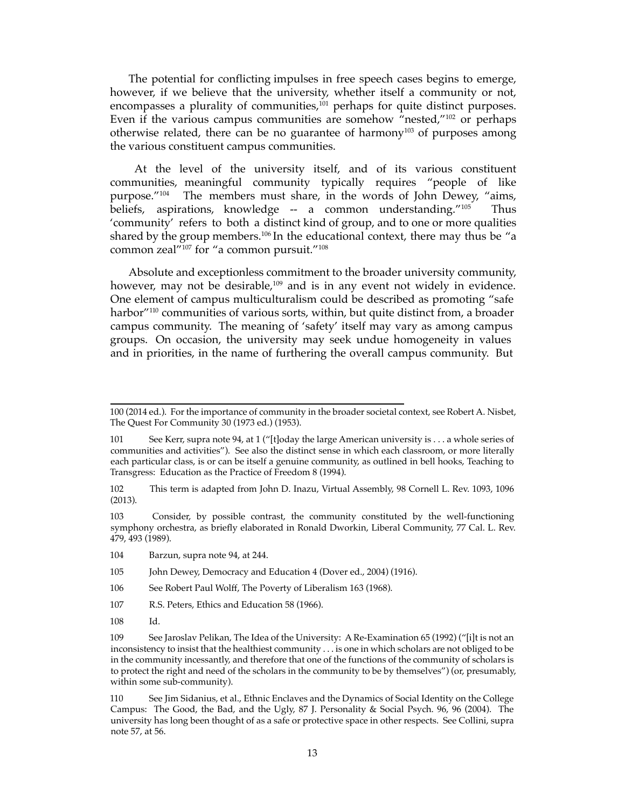The potential for conflicting impulses in free speech cases begins to emerge, however, if we believe that the university, whether itself a community or not, encompasses a plurality of communities,<sup>101</sup> perhaps for quite distinct purposes. Even if the various campus communities are somehow "nested,"<sup>102</sup> or perhaps otherwise related, there can be no guarantee of harmony<sup>103</sup> of purposes among the various constituent campus communities.

At the level of the university itself, and of its various constituent communities, meaningful community typically requires "people of like purpose."<sup>104</sup> The members must share, in the words of John Dewey, "aims, beliefs, aspirations, knowledge -- a common understanding."<sup>105</sup> Thus 'community' refers to both a distinct kind of group, and to one or more qualities shared by the group members.<sup>106</sup> In the educational context, there may thus be "a common zeal"<sup>107</sup> for "a common pursuit."<sup>108</sup>

Absolute and exceptionless commitment to the broader university community, however, may not be desirable,<sup>109</sup> and is in any event not widely in evidence. One element of campus multiculturalism could be described as promoting "safe harbor"<sup>110</sup> communities of various sorts, within, but quite distinct from, a broader campus community. The meaning of 'safety' itself may vary as among campus groups. On occasion, the university may seek undue homogeneity in values and in priorities, in the name of furthering the overall campus community. But

104 Barzun, supra note 94, at 244.

105 John Dewey, Democracy and Education 4 (Dover ed., 2004) (1916).

106 See Robert Paul Wolff, The Poverty of Liberalism 163 (1968).

107 R.S. Peters, Ethics and Education 58 (1966).

108 Id.

<sup>100 (2014</sup> ed.). For the importance of community in the broader societal context, see Robert A. Nisbet, The Quest For Community 30 (1973 ed.) (1953).

<sup>101</sup> See Kerr, supra note 94, at 1 ("[t]oday the large American university is . . . a whole series of communities and activities"). See also the distinct sense in which each classroom, or more literally each particular class, is or can be itself a genuine community, as outlined in bell hooks, Teaching to Transgress: Education as the Practice of Freedom 8 (1994).

<sup>102</sup> This term is adapted from John D. Inazu, Virtual Assembly, 98 Cornell L. Rev. 1093, 1096 (2013).

<sup>103</sup> Consider, by possible contrast, the community constituted by the well-functioning symphony orchestra, as briefly elaborated in Ronald Dworkin, Liberal Community, 77 Cal. L. Rev. 479, 493 (1989).

<sup>109</sup> See Jaroslav Pelikan, The Idea of the University: A Re-Examination 65 (1992) ("[i]t is not an inconsistency to insist that the healthiest community . . . is one in which scholars are not obliged to be in the community incessantly, and therefore that one of the functions of the community of scholars is to protect the right and need of the scholars in the community to be by themselves") (or, presumably, within some sub-community).

<sup>110</sup> See Jim Sidanius, et al., Ethnic Enclaves and the Dynamics of Social Identity on the College Campus: The Good, the Bad, and the Ugly, 87 J. Personality & Social Psych. 96, 96 (2004). The university has long been thought of as a safe or protective space in other respects. See Collini, supra note 57, at 56.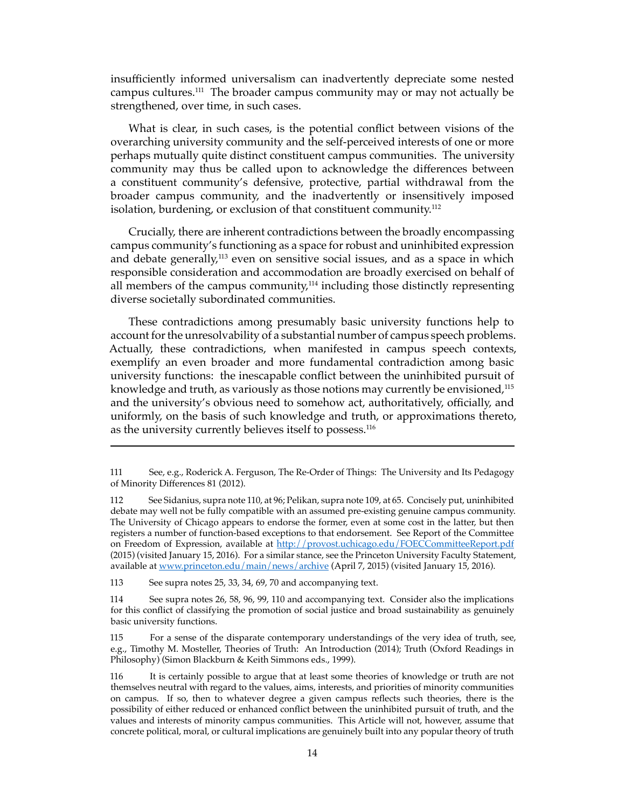insufficiently informed universalism can inadvertently depreciate some nested campus cultures.111 The broader campus community may or may not actually be strengthened, over time, in such cases.

What is clear, in such cases, is the potential conflict between visions of the overarching university community and the self-perceived interests of one or more perhaps mutually quite distinct constituent campus communities. The university community may thus be called upon to acknowledge the differences between a constituent community's defensive, protective, partial withdrawal from the broader campus community, and the inadvertently or insensitively imposed isolation, burdening, or exclusion of that constituent community.<sup>112</sup>

Crucially, there are inherent contradictions between the broadly encompassing campus community's functioning as a space for robust and uninhibited expression and debate generally, $113$  even on sensitive social issues, and as a space in which responsible consideration and accommodation are broadly exercised on behalf of all members of the campus community, $114$  including those distinctly representing diverse societally subordinated communities.

These contradictions among presumably basic university functions help to account for the unresolvability of a substantial number of campus speech problems. Actually, these contradictions, when manifested in campus speech contexts, exemplify an even broader and more fundamental contradiction among basic university functions: the inescapable conflict between the uninhibited pursuit of knowledge and truth, as variously as those notions may currently be envisioned, $^{115}$ and the university's obvious need to somehow act, authoritatively, officially, and uniformly, on the basis of such knowledge and truth, or approximations thereto, as the university currently believes itself to possess.<sup>116</sup>

113 See supra notes 25, 33, 34, 69, 70 and accompanying text.

114 See supra notes 26, 58, 96, 99, 110 and accompanying text. Consider also the implications for this conflict of classifying the promotion of social justice and broad sustainability as genuinely basic university functions.

115 For a sense of the disparate contemporary understandings of the very idea of truth, see, e.g., Timothy M. Mosteller, Theories of Truth: An Introduction (2014); Truth (Oxford Readings in Philosophy) (Simon Blackburn & Keith Simmons eds., 1999).

<sup>111</sup> See, e.g., Roderick A. Ferguson, The Re-Order of Things: The University and Its Pedagogy of Minority Differences 81 (2012).

<sup>112</sup> See Sidanius, supra note 110, at 96; Pelikan, supra note 109, at 65. Concisely put, uninhibited debate may well not be fully compatible with an assumed pre-existing genuine campus community. The University of Chicago appears to endorse the former, even at some cost in the latter, but then registers a number of function-based exceptions to that endorsement. See Report of the Committee on Freedom of Expression, available at <http://provost.uchicago.edu/FOECCommitteeReport.pdf> (2015) (visited January 15, 2016). For a similar stance, see the Princeton University Faculty Statement, available at [www.princeton.edu/main/news/archive](http://www.princeton.edu/main/news/archive) (April 7, 2015) (visited January 15, 2016).

<sup>116</sup> It is certainly possible to argue that at least some theories of knowledge or truth are not themselves neutral with regard to the values, aims, interests, and priorities of minority communities on campus. If so, then to whatever degree a given campus reflects such theories, there is the possibility of either reduced or enhanced conflict between the uninhibited pursuit of truth, and the values and interests of minority campus communities. This Article will not, however, assume that concrete political, moral, or cultural implications are genuinely built into any popular theory of truth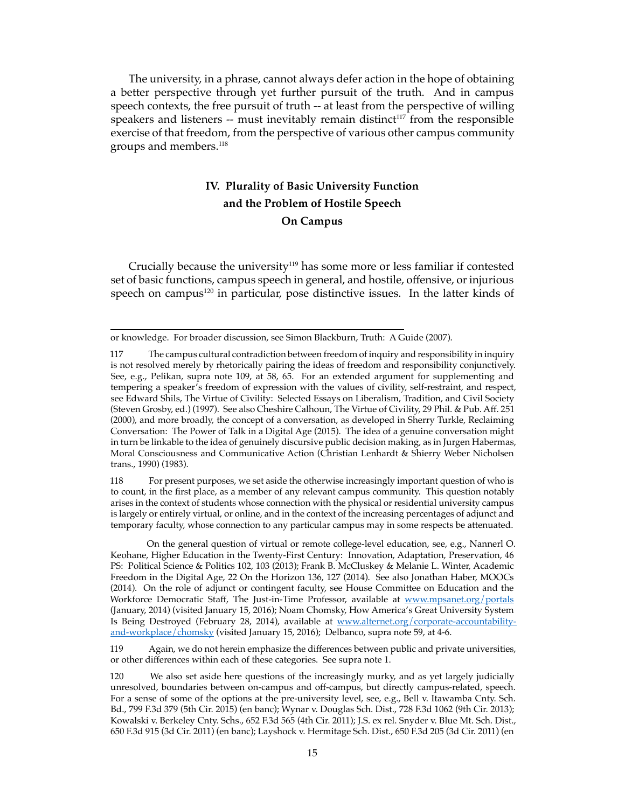The university, in a phrase, cannot always defer action in the hope of obtaining a better perspective through yet further pursuit of the truth. And in campus speech contexts, the free pursuit of truth -- at least from the perspective of willing speakers and listeners  $-$  must inevitably remain distinct<sup>117</sup> from the responsible exercise of that freedom, from the perspective of various other campus community groups and members.118

## **IV. Plurality of Basic University Function and the Problem of Hostile Speech On Campus**

Crucially because the university<sup>119</sup> has some more or less familiar if contested set of basic functions, campus speech in general, and hostile, offensive, or injurious speech on campus<sup>120</sup> in particular, pose distinctive issues. In the latter kinds of

118 For present purposes, we set aside the otherwise increasingly important question of who is to count, in the first place, as a member of any relevant campus community. This question notably arises in the context of students whose connection with the physical or residential university campus is largely or entirely virtual, or online, and in the context of the increasing percentages of adjunct and temporary faculty, whose connection to any particular campus may in some respects be attenuated.

On the general question of virtual or remote college-level education, see, e.g., Nannerl O. Keohane, Higher Education in the Twenty-First Century: Innovation, Adaptation, Preservation, 46 PS: Political Science & Politics 102, 103 (2013); Frank B. McCluskey & Melanie L. Winter, Academic Freedom in the Digital Age, 22 On the Horizon 136, 127 (2014). See also Jonathan Haber, MOOCs (2014). On the role of adjunct or contingent faculty, see House Committee on Education and the Workforce Democratic Staff, The Just-in-Time Professor, available at [www.mpsanet.org/portals](http://www.mpsanet.org/portals) (January, 2014) (visited January 15, 2016); Noam Chomsky, How America's Great University System Is Being Destroyed (February 28, 2014), available at [www.alternet.org/corporate-accountability](http://www.alternet.org/corporate-accountability-and-workplace/chomsky)[and-workplace/chomsky](http://www.alternet.org/corporate-accountability-and-workplace/chomsky) (visited January 15, 2016); Delbanco, supra note 59, at 4-6.

119 Again, we do not herein emphasize the differences between public and private universities, or other differences within each of these categories. See supra note 1.

120 We also set aside here questions of the increasingly murky, and as yet largely judicially unresolved, boundaries between on-campus and off-campus, but directly campus-related, speech. For a sense of some of the options at the pre-university level, see, e.g., Bell v. Itawamba Cnty. Sch. Bd., 799 F.3d 379 (5th Cir. 2015) (en banc); Wynar v. Douglas Sch. Dist., 728 F.3d 1062 (9th Cir. 2013); Kowalski v. Berkeley Cnty. Schs., 652 F.3d 565 (4th Cir. 2011); J.S. ex rel. Snyder v. Blue Mt. Sch. Dist., 650 F.3d 915 (3d Cir. 2011) (en banc); Layshock v. Hermitage Sch. Dist., 650 F.3d 205 (3d Cir. 2011) (en

or knowledge. For broader discussion, see Simon Blackburn, Truth: A Guide (2007).

<sup>117</sup> The campus cultural contradiction between freedom of inquiry and responsibility in inquiry is not resolved merely by rhetorically pairing the ideas of freedom and responsibility conjunctively. See, e.g., Pelikan, supra note 109, at 58, 65. For an extended argument for supplementing and tempering a speaker's freedom of expression with the values of civility, self-restraint, and respect, see Edward Shils, The Virtue of Civility: Selected Essays on Liberalism, Tradition, and Civil Society (Steven Grosby, ed.) (1997). See also Cheshire Calhoun, The Virtue of Civility, 29 Phil. & Pub. Aff. 251 (2000), and more broadly, the concept of a conversation, as developed in Sherry Turkle, Reclaiming Conversation: The Power of Talk in a Digital Age (2015). The idea of a genuine conversation might in turn be linkable to the idea of genuinely discursive public decision making, as in Jurgen Habermas, Moral Consciousness and Communicative Action (Christian Lenhardt & Shierry Weber Nicholsen trans., 1990) (1983).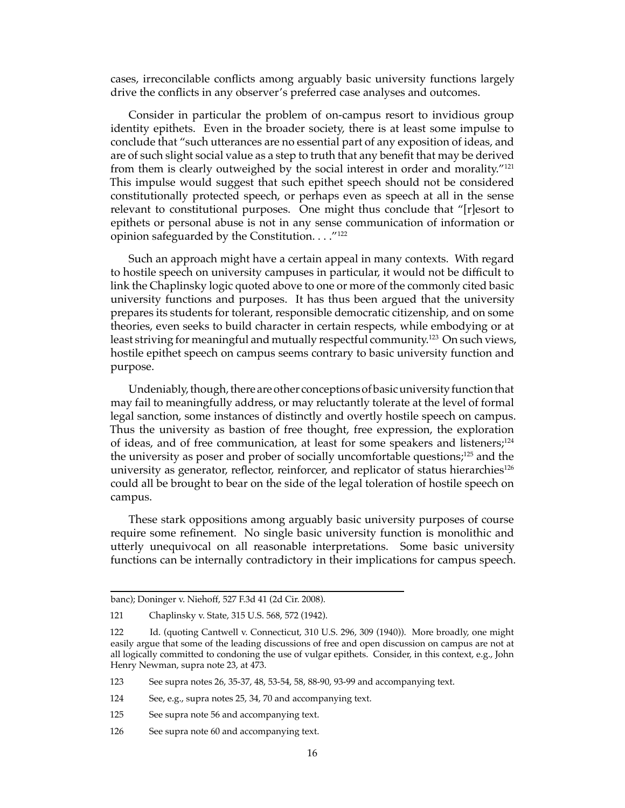cases, irreconcilable conflicts among arguably basic university functions largely drive the conflicts in any observer's preferred case analyses and outcomes.

Consider in particular the problem of on-campus resort to invidious group identity epithets. Even in the broader society, there is at least some impulse to conclude that "such utterances are no essential part of any exposition of ideas, and are of such slight social value as a step to truth that any benefit that may be derived from them is clearly outweighed by the social interest in order and morality."<sup>121</sup> This impulse would suggest that such epithet speech should not be considered constitutionally protected speech, or perhaps even as speech at all in the sense relevant to constitutional purposes. One might thus conclude that "[r]esort to epithets or personal abuse is not in any sense communication of information or opinion safeguarded by the Constitution. . . ."122

Such an approach might have a certain appeal in many contexts. With regard to hostile speech on university campuses in particular, it would not be difficult to link the Chaplinsky logic quoted above to one or more of the commonly cited basic university functions and purposes. It has thus been argued that the university prepares its students for tolerant, responsible democratic citizenship, and on some theories, even seeks to build character in certain respects, while embodying or at least striving for meaningful and mutually respectful community.<sup>123</sup> On such views, hostile epithet speech on campus seems contrary to basic university function and purpose.

Undeniably, though, there are other conceptions of basic university function that may fail to meaningfully address, or may reluctantly tolerate at the level of formal legal sanction, some instances of distinctly and overtly hostile speech on campus. Thus the university as bastion of free thought, free expression, the exploration of ideas, and of free communication, at least for some speakers and listeners;<sup>124</sup> the university as poser and prober of socially uncomfortable questions;125 and the university as generator, reflector, reinforcer, and replicator of status hierarchies $^{126}$ could all be brought to bear on the side of the legal toleration of hostile speech on campus.

These stark oppositions among arguably basic university purposes of course require some refinement. No single basic university function is monolithic and utterly unequivocal on all reasonable interpretations. Some basic university functions can be internally contradictory in their implications for campus speech.

banc); Doninger v. Niehoff, 527 F.3d 41 (2d Cir. 2008).

<sup>121</sup> Chaplinsky v. State, 315 U.S. 568, 572 (1942).

<sup>122</sup> Id. (quoting Cantwell v. Connecticut, 310 U.S. 296, 309 (1940)). More broadly, one might easily argue that some of the leading discussions of free and open discussion on campus are not at all logically committed to condoning the use of vulgar epithets. Consider, in this context, e.g., John Henry Newman, supra note 23, at 473.

<sup>123</sup> See supra notes 26, 35-37, 48, 53-54, 58, 88-90, 93-99 and accompanying text.

<sup>124</sup> See, e.g., supra notes 25, 34, 70 and accompanying text.

<sup>125</sup> See supra note 56 and accompanying text.

<sup>126</sup> See supra note 60 and accompanying text.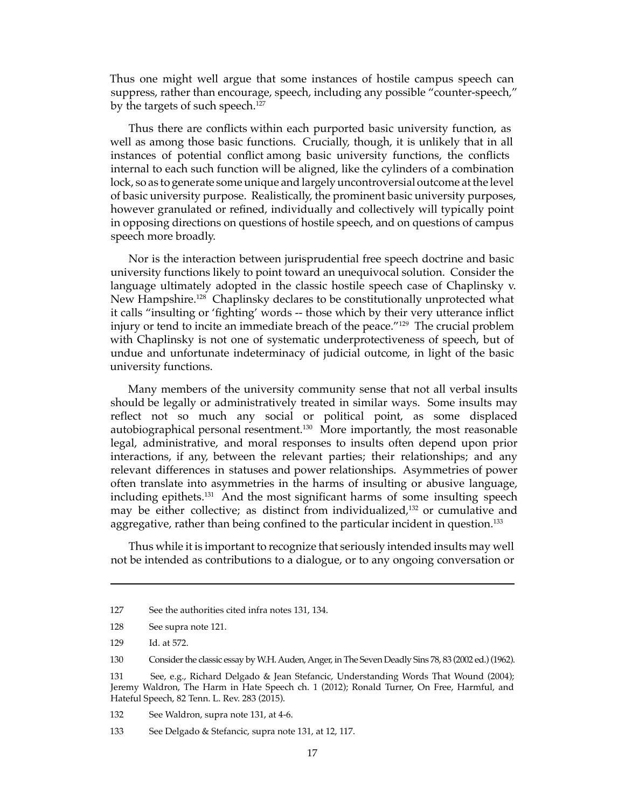Thus one might well argue that some instances of hostile campus speech can suppress, rather than encourage, speech, including any possible "counter-speech," by the targets of such speech.<sup>127</sup>

Thus there are conflicts within each purported basic university function, as well as among those basic functions. Crucially, though, it is unlikely that in all instances of potential conflict among basic university functions, the conflicts internal to each such function will be aligned, like the cylinders of a combination lock, so as to generate some unique and largely uncontroversial outcome at the level of basic university purpose. Realistically, the prominent basic university purposes, however granulated or refined, individually and collectively will typically point in opposing directions on questions of hostile speech, and on questions of campus speech more broadly.

Nor is the interaction between jurisprudential free speech doctrine and basic university functions likely to point toward an unequivocal solution. Consider the language ultimately adopted in the classic hostile speech case of Chaplinsky v. New Hampshire.<sup>128</sup> Chaplinsky declares to be constitutionally unprotected what it calls "insulting or 'fighting' words -- those which by their very utterance inflict injury or tend to incite an immediate breach of the peace."<sup>129</sup> The crucial problem with Chaplinsky is not one of systematic underprotectiveness of speech, but of undue and unfortunate indeterminacy of judicial outcome, in light of the basic university functions.

 Many members of the university community sense that not all verbal insults should be legally or administratively treated in similar ways. Some insults may reflect not so much any social or political point, as some displaced autobiographical personal resentment.<sup>130</sup> More importantly, the most reasonable legal, administrative, and moral responses to insults often depend upon prior interactions, if any, between the relevant parties; their relationships; and any relevant differences in statuses and power relationships. Asymmetries of power often translate into asymmetries in the harms of insulting or abusive language, including epithets.<sup>131</sup> And the most significant harms of some insulting speech may be either collective; as distinct from individualized,<sup>132</sup> or cumulative and aggregative, rather than being confined to the particular incident in question.<sup>133</sup>

Thus while it is important to recognize that seriously intended insults may well not be intended as contributions to a dialogue, or to any ongoing conversation or

130 Consider the classic essay by W.H. Auden, Anger, in The Seven Deadly Sins 78, 83 (2002 ed.) (1962).

<sup>127</sup> See the authorities cited infra notes 131, 134.

<sup>128</sup> See supra note 121.

<sup>129</sup> Id. at 572.

<sup>131</sup> See, e.g., Richard Delgado & Jean Stefancic, Understanding Words That Wound (2004); Jeremy Waldron, The Harm in Hate Speech ch. 1 (2012); Ronald Turner, On Free, Harmful, and Hateful Speech, 82 Tenn. L. Rev. 283 (2015).

<sup>132</sup> See Waldron, supra note 131, at 4-6.

<sup>133</sup> See Delgado & Stefancic, supra note 131, at 12, 117.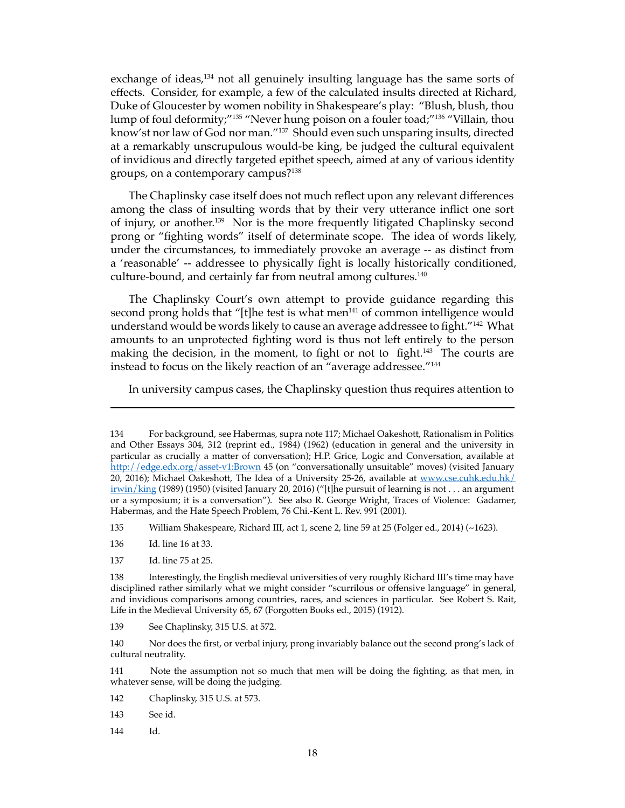exchange of ideas,<sup>134</sup> not all genuinely insulting language has the same sorts of effects. Consider, for example, a few of the calculated insults directed at Richard, Duke of Gloucester by women nobility in Shakespeare's play: "Blush, blush, thou lump of foul deformity;"<sup>135</sup> "Never hung poison on a fouler toad;"<sup>136</sup> "Villain, thou know'st nor law of God nor man."<sup>137</sup> Should even such unsparing insults, directed at a remarkably unscrupulous would-be king, be judged the cultural equivalent of invidious and directly targeted epithet speech, aimed at any of various identity groups, on a contemporary campus?<sup>138</sup>

The Chaplinsky case itself does not much reflect upon any relevant differences among the class of insulting words that by their very utterance inflict one sort of injury, or another.<sup>139</sup> Nor is the more frequently litigated Chaplinsky second prong or "fighting words" itself of determinate scope. The idea of words likely, under the circumstances, to immediately provoke an average -- as distinct from a 'reasonable' -- addressee to physically fight is locally historically conditioned, culture-bound, and certainly far from neutral among cultures.<sup>140</sup>

The Chaplinsky Court's own attempt to provide guidance regarding this second prong holds that "[t]he test is what men<sup>141</sup> of common intelligence would understand would be words likely to cause an average addressee to fight."142 What amounts to an unprotected fighting word is thus not left entirely to the person making the decision, in the moment, to fight or not to fight.<sup>143</sup> The courts are instead to focus on the likely reaction of an "average addressee."<sup>144</sup>

In university campus cases, the Chaplinsky question thus requires attention to

135 William Shakespeare, Richard III, act 1, scene 2, line 59 at 25 (Folger ed., 2014) (~1623).

136 Id. line 16 at 33.

137 Id. line 75 at 25.

138 Interestingly, the English medieval universities of very roughly Richard III's time may have disciplined rather similarly what we might consider "scurrilous or offensive language" in general, and invidious comparisons among countries, races, and sciences in particular. See Robert S. Rait, Life in the Medieval University 65, 67 (Forgotten Books ed., 2015) (1912).

139 See Chaplinsky, 315 U.S. at 572.

140 Nor does the first, or verbal injury, prong invariably balance out the second prong's lack of cultural neutrality.

141 Note the assumption not so much that men will be doing the fighting, as that men, in whatever sense, will be doing the judging.

142 Chaplinsky, 315 U.S. at 573.

143 See id.

144 Id.

<sup>134</sup> For background, see Habermas, supra note 117; Michael Oakeshott, Rationalism in Politics and Other Essays 304, 312 (reprint ed., 1984) (1962) (education in general and the university in particular as crucially a matter of conversation); H.P. Grice, Logic and Conversation, available at <http://edge.edx.org/asset-v1:Brown>45 (on "conversationally unsuitable" moves) (visited January 20, 2016); Michael Oakeshott, The Idea of a University 25-26, available at [www.cse.cuhk.edu.hk/](http://www.cse.cuhk.edu.hk/irwin/king)  $ivlim/king$  (1989) (1950) (visited January 20, 2016) ("[t]he pursuit of learning is not . . . an argument or a symposium; it is a conversation"). See also R. George Wright, Traces of Violence: Gadamer, Habermas, and the Hate Speech Problem, 76 Chi.-Kent L. Rev. 991 (2001).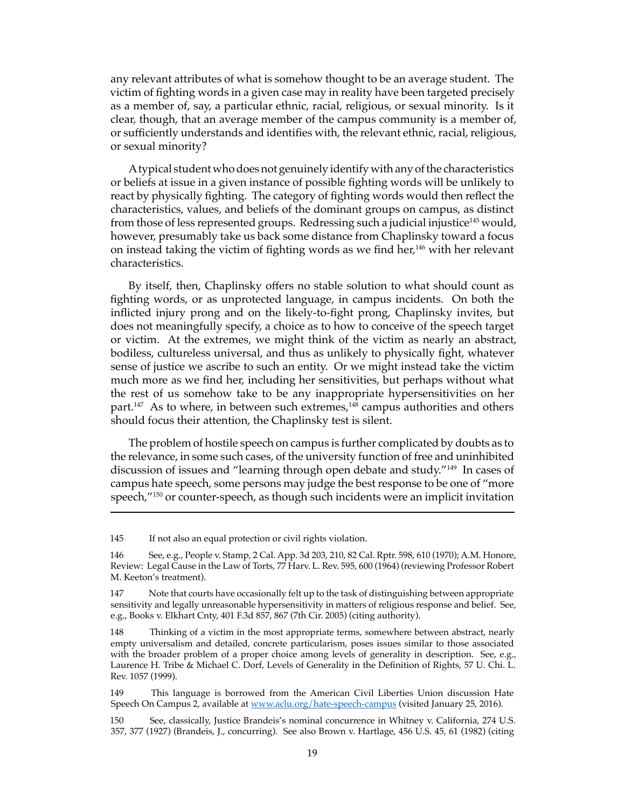any relevant attributes of what is somehow thought to be an average student. The victim of fighting words in a given case may in reality have been targeted precisely as a member of, say, a particular ethnic, racial, religious, or sexual minority. Is it clear, though, that an average member of the campus community is a member of, or sufficiently understands and identifies with, the relevant ethnic, racial, religious, or sexual minority?

A typical student who does not genuinely identify with any of the characteristics or beliefs at issue in a given instance of possible fighting words will be unlikely to react by physically fighting. The category of fighting words would then reflect the characteristics, values, and beliefs of the dominant groups on campus, as distinct from those of less represented groups. Redressing such a judicial injustice<sup>145</sup> would, however, presumably take us back some distance from Chaplinsky toward a focus on instead taking the victim of fighting words as we find her,<sup>146</sup> with her relevant characteristics.

By itself, then, Chaplinsky offers no stable solution to what should count as fighting words, or as unprotected language, in campus incidents. On both the inflicted injury prong and on the likely-to-fight prong, Chaplinsky invites, but does not meaningfully specify, a choice as to how to conceive of the speech target or victim. At the extremes, we might think of the victim as nearly an abstract, bodiless, cultureless universal, and thus as unlikely to physically fight, whatever sense of justice we ascribe to such an entity. Or we might instead take the victim much more as we find her, including her sensitivities, but perhaps without what the rest of us somehow take to be any inappropriate hypersensitivities on her part.<sup>147</sup> As to where, in between such extremes,<sup>148</sup> campus authorities and others should focus their attention, the Chaplinsky test is silent.

The problem of hostile speech on campus is further complicated by doubts as to the relevance, in some such cases, of the university function of free and uninhibited discussion of issues and "learning through open debate and study."149 In cases of campus hate speech, some persons may judge the best response to be one of "more speech,"150 or counter-speech, as though such incidents were an implicit invitation

<sup>145</sup> If not also an equal protection or civil rights violation.

<sup>146</sup> See, e.g., People v. Stamp, 2 Cal. App. 3d 203, 210, 82 Cal. Rptr. 598, 610 (1970); A.M. Honore, Review: Legal Cause in the Law of Torts, 77 Harv. L. Rev. 595, 600 (1964) (reviewing Professor Robert M. Keeton's treatment).

<sup>147</sup> Note that courts have occasionally felt up to the task of distinguishing between appropriate sensitivity and legally unreasonable hypersensitivity in matters of religious response and belief. See, e.g., Books v. Elkhart Cnty, 401 F.3d 857, 867 (7th Cir. 2005) (citing authority).

<sup>148</sup> Thinking of a victim in the most appropriate terms, somewhere between abstract, nearly empty universalism and detailed, concrete particularism, poses issues similar to those associated with the broader problem of a proper choice among levels of generality in description. See, e.g., Laurence H. Tribe & Michael C. Dorf, Levels of Generality in the Definition of Rights, 57 U. Chi. L. Rev. 1057 (1999).

<sup>149</sup> This language is borrowed from the American Civil Liberties Union discussion Hate Speech On Campus 2, available at [www.aclu.org/hate-speech-campus](http://www.aclu.org/hate-speech-campus) (visited January 25, 2016).

<sup>150</sup> See, classically, Justice Brandeis's nominal concurrence in Whitney v. California, 274 U.S. 357, 377 (1927) (Brandeis, J., concurring). See also Brown v. Hartlage, 456 U.S. 45, 61 (1982) (citing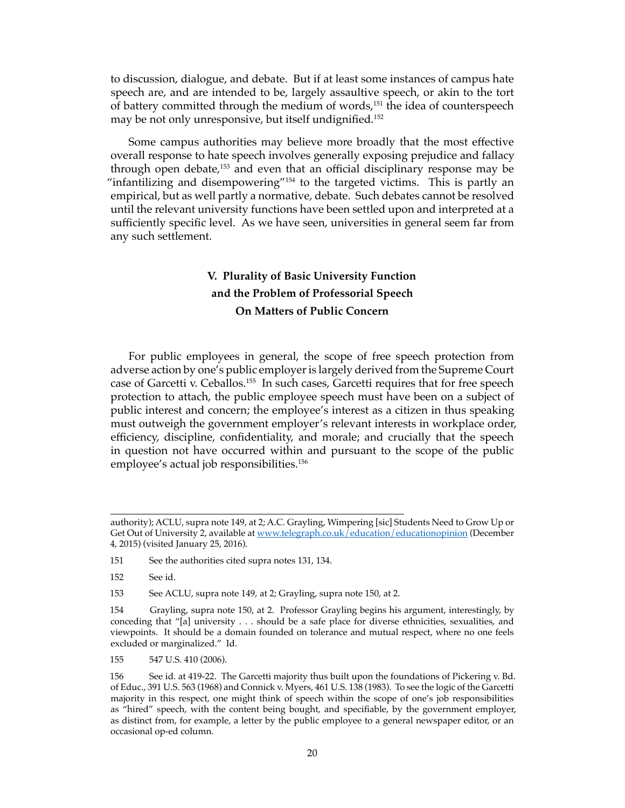to discussion, dialogue, and debate. But if at least some instances of campus hate speech are, and are intended to be, largely assaultive speech, or akin to the tort of battery committed through the medium of words,<sup>151</sup> the idea of counterspeech may be not only unresponsive, but itself undignified.<sup>152</sup>

Some campus authorities may believe more broadly that the most effective overall response to hate speech involves generally exposing prejudice and fallacy through open debate,153 and even that an official disciplinary response may be "infantilizing and disempowering"<sup>154</sup> to the targeted victims. This is partly an empirical, but as well partly a normative, debate. Such debates cannot be resolved until the relevant university functions have been settled upon and interpreted at a sufficiently specific level. As we have seen, universities in general seem far from any such settlement.

### **V. Plurality of Basic University Function and the Problem of Professorial Speech On Matters of Public Concern**

For public employees in general, the scope of free speech protection from adverse action by one's public employer is largely derived from the Supreme Court case of Garcetti v. Ceballos.155 In such cases, Garcetti requires that for free speech protection to attach, the public employee speech must have been on a subject of public interest and concern; the employee's interest as a citizen in thus speaking must outweigh the government employer's relevant interests in workplace order, efficiency, discipline, confidentiality, and morale; and crucially that the speech in question not have occurred within and pursuant to the scope of the public employee's actual job responsibilities.<sup>156</sup>

153 See ACLU, supra note 149, at 2; Grayling, supra note 150, at 2.

154 Grayling, supra note 150, at 2. Professor Grayling begins his argument, interestingly, by conceding that "[a] university . . . should be a safe place for diverse ethnicities, sexualities, and viewpoints. It should be a domain founded on tolerance and mutual respect, where no one feels excluded or marginalized." Id.

155 547 U.S. 410 (2006).

authority); ACLU, supra note 149, at 2; A.C. Grayling, Wimpering [sic] Students Need to Grow Up or Get Out of University 2, available at [www.telegraph.co.uk/education/educationopinion](http://www.telegraph.co.uk/education/educationopinion) (December 4, 2015) (visited January 25, 2016).

<sup>151</sup> See the authorities cited supra notes 131, 134.

<sup>152</sup> See id.

<sup>156</sup> See id. at 419-22. The Garcetti majority thus built upon the foundations of Pickering v. Bd. of Educ., 391 U.S. 563 (1968) and Connick v. Myers, 461 U.S. 138 (1983). To see the logic of the Garcetti majority in this respect, one might think of speech within the scope of one's job responsibilities as "hired" speech, with the content being bought, and specifiable, by the government employer, as distinct from, for example, a letter by the public employee to a general newspaper editor, or an occasional op-ed column.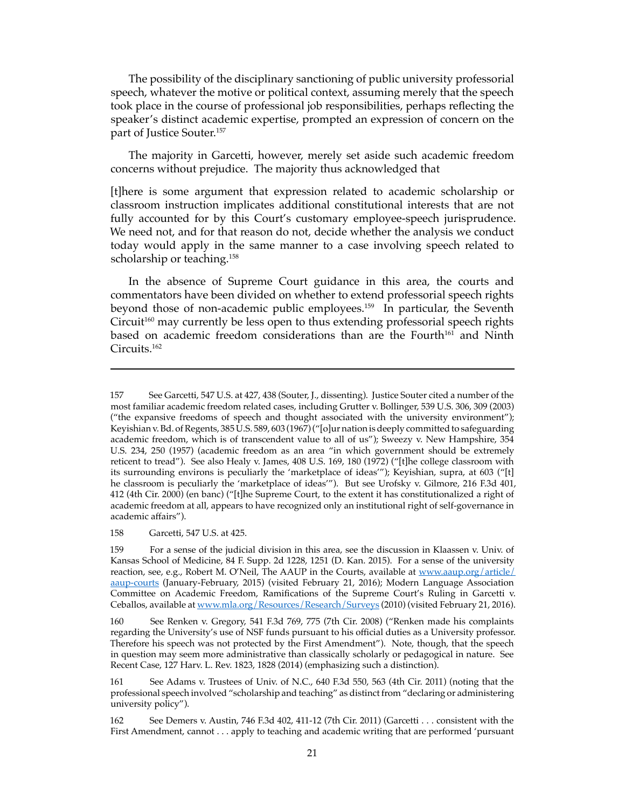The possibility of the disciplinary sanctioning of public university professorial speech, whatever the motive or political context, assuming merely that the speech took place in the course of professional job responsibilities, perhaps reflecting the speaker's distinct academic expertise, prompted an expression of concern on the part of Justice Souter.<sup>157</sup>

The majority in Garcetti, however, merely set aside such academic freedom concerns without prejudice. The majority thus acknowledged that

[t]here is some argument that expression related to academic scholarship or classroom instruction implicates additional constitutional interests that are not fully accounted for by this Court's customary employee-speech jurisprudence. We need not, and for that reason do not, decide whether the analysis we conduct today would apply in the same manner to a case involving speech related to scholarship or teaching.<sup>158</sup>

In the absence of Supreme Court guidance in this area, the courts and commentators have been divided on whether to extend professorial speech rights beyond those of non-academic public employees.<sup>159</sup> In particular, the Seventh  $Circuit<sup>160</sup>$  may currently be less open to thus extending professorial speech rights based on academic freedom considerations than are the Fourth<sup>161</sup> and Ninth Circuits.<sup>162</sup>

158 Garcetti, 547 U.S. at 425.

<sup>157</sup> See Garcetti, 547 U.S. at 427, 438 (Souter, J., dissenting). Justice Souter cited a number of the most familiar academic freedom related cases, including Grutter v. Bollinger, 539 U.S. 306, 309 (2003) ("the expansive freedoms of speech and thought associated with the university environment"); Keyishian v. Bd. of Regents, 385 U.S. 589, 603 (1967) ("[o]ur nation is deeply committed to safeguarding academic freedom, which is of transcendent value to all of us"); Sweezy v. New Hampshire, 354 U.S. 234, 250 (1957) (academic freedom as an area "in which government should be extremely reticent to tread"). See also Healy v. James, 408 U.S. 169, 180 (1972) ("[t]he college classroom with its surrounding environs is peculiarly the 'marketplace of ideas'"); Keyishian, supra, at 603 ("[t] he classroom is peculiarly the 'marketplace of ideas'"). But see Urofsky v. Gilmore, 216 F.3d 401, 412 (4th Cir. 2000) (en banc) ("[t]he Supreme Court, to the extent it has constitutionalized a right of academic freedom at all, appears to have recognized only an institutional right of self-governance in academic affairs").

<sup>159</sup> For a sense of the judicial division in this area, see the discussion in Klaassen v. Univ. of Kansas School of Medicine, 84 F. Supp. 2d 1228, 1251 (D. Kan. 2015). For a sense of the university reaction, see, e.g., Robert M. O'Neil, The AAUP in the Courts, available at [www.aaup.org/article/](http://www.aaup.org/article/aaup-courts) [aaup-courts](http://www.aaup.org/article/aaup-courts) (January-February, 2015) (visited February 21, 2016); Modern Language Association Committee on Academic Freedom, Ramifications of the Supreme Court's Ruling in Garcetti v. Ceballos, available at [www.mla.org/Resources/Research/Surveys](http://www.mla.org/Resources/Research/Surveys) (2010) (visited February 21, 2016).

<sup>160</sup> See Renken v. Gregory, 541 F.3d 769, 775 (7th Cir. 2008) ("Renken made his complaints regarding the University's use of NSF funds pursuant to his official duties as a University professor. Therefore his speech was not protected by the First Amendment"). Note, though, that the speech in question may seem more administrative than classically scholarly or pedagogical in nature. See Recent Case, 127 Harv. L. Rev. 1823, 1828 (2014) (emphasizing such a distinction).

<sup>161</sup> See Adams v. Trustees of Univ. of N.C., 640 F.3d 550, 563 (4th Cir. 2011) (noting that the professional speech involved "scholarship and teaching" as distinct from "declaring or administering university policy").

<sup>162</sup> See Demers v. Austin, 746 F.3d 402, 411-12 (7th Cir. 2011) (Garcetti . . . consistent with the First Amendment, cannot . . . apply to teaching and academic writing that are performed 'pursuant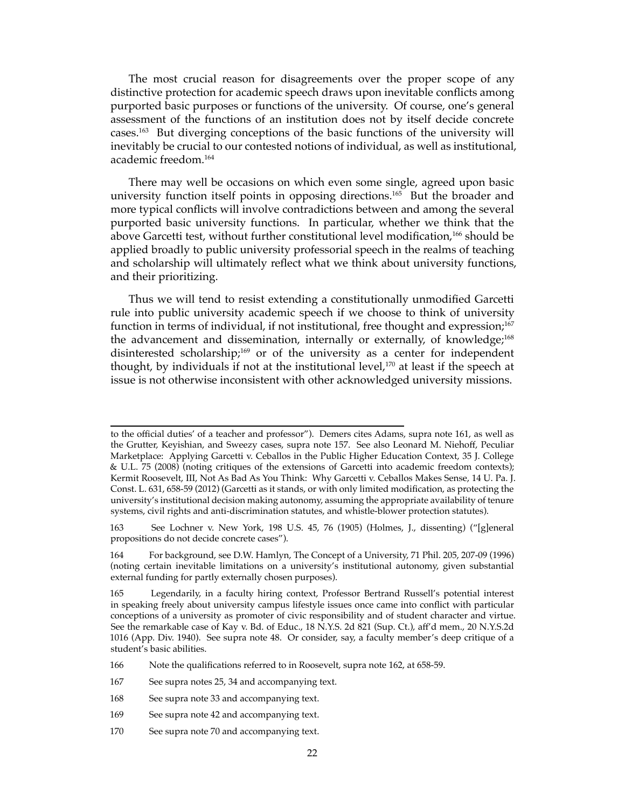The most crucial reason for disagreements over the proper scope of any distinctive protection for academic speech draws upon inevitable conflicts among purported basic purposes or functions of the university. Of course, one's general assessment of the functions of an institution does not by itself decide concrete cases.163 But diverging conceptions of the basic functions of the university will inevitably be crucial to our contested notions of individual, as well as institutional, academic freedom.164

There may well be occasions on which even some single, agreed upon basic university function itself points in opposing directions.<sup>165</sup> But the broader and more typical conflicts will involve contradictions between and among the several purported basic university functions. In particular, whether we think that the above Garcetti test, without further constitutional level modification,166 should be applied broadly to public university professorial speech in the realms of teaching and scholarship will ultimately reflect what we think about university functions, and their prioritizing.

Thus we will tend to resist extending a constitutionally unmodified Garcetti rule into public university academic speech if we choose to think of university function in terms of individual, if not institutional, free thought and expression;<sup>167</sup> the advancement and dissemination, internally or externally, of knowledge;<sup>168</sup> disinterested scholarship;<sup>169</sup> or of the university as a center for independent thought, by individuals if not at the institutional level, $170$  at least if the speech at issue is not otherwise inconsistent with other acknowledged university missions.

to the official duties' of a teacher and professor"). Demers cites Adams, supra note 161, as well as the Grutter, Keyishian, and Sweezy cases, supra note 157. See also Leonard M. Niehoff, Peculiar Marketplace: Applying Garcetti v. Ceballos in the Public Higher Education Context, 35 J. College & U.L. 75 (2008) (noting critiques of the extensions of Garcetti into academic freedom contexts); Kermit Roosevelt, III, Not As Bad As You Think: Why Garcetti v. Ceballos Makes Sense, 14 U. Pa. J. Const. L. 631, 658-59 (2012) (Garcetti as it stands, or with only limited modification, as protecting the university's institutional decision making autonomy, assuming the appropriate availability of tenure systems, civil rights and anti-discrimination statutes, and whistle-blower protection statutes).

<sup>163</sup> See Lochner v. New York, 198 U.S. 45, 76 (1905) (Holmes, J., dissenting) ("[g]eneral propositions do not decide concrete cases").

<sup>164</sup> For background, see D.W. Hamlyn, The Concept of a University, 71 Phil. 205, 207-09 (1996) (noting certain inevitable limitations on a university's institutional autonomy, given substantial external funding for partly externally chosen purposes).

<sup>165</sup> Legendarily, in a faculty hiring context, Professor Bertrand Russell's potential interest in speaking freely about university campus lifestyle issues once came into conflict with particular conceptions of a university as promoter of civic responsibility and of student character and virtue. See the remarkable case of Kay v. Bd. of Educ., 18 N.Y.S. 2d 821 (Sup. Ct.), aff'd mem., 20 N.Y.S.2d 1016 (App. Div. 1940). See supra note 48. Or consider, say, a faculty member's deep critique of a student's basic abilities.

<sup>166</sup> Note the qualifications referred to in Roosevelt, supra note 162, at 658-59.

<sup>167</sup> See supra notes 25, 34 and accompanying text.

<sup>168</sup> See supra note 33 and accompanying text.

<sup>169</sup> See supra note 42 and accompanying text.

<sup>170</sup> See supra note 70 and accompanying text.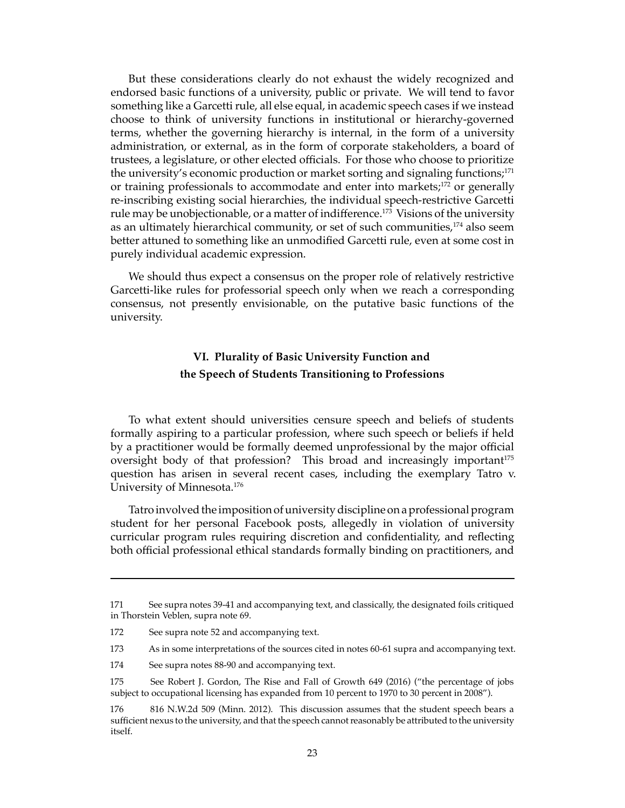But these considerations clearly do not exhaust the widely recognized and endorsed basic functions of a university, public or private. We will tend to favor something like a Garcetti rule, all else equal, in academic speech cases if we instead choose to think of university functions in institutional or hierarchy-governed terms, whether the governing hierarchy is internal, in the form of a university administration, or external, as in the form of corporate stakeholders, a board of trustees, a legislature, or other elected officials. For those who choose to prioritize the university's economic production or market sorting and signaling functions;<sup>171</sup> or training professionals to accommodate and enter into markets; $172$  or generally re-inscribing existing social hierarchies, the individual speech-restrictive Garcetti rule may be unobjectionable, or a matter of indifference.<sup>173</sup> Visions of the university as an ultimately hierarchical community, or set of such communities, $174$  also seem better attuned to something like an unmodified Garcetti rule, even at some cost in purely individual academic expression.

We should thus expect a consensus on the proper role of relatively restrictive Garcetti-like rules for professorial speech only when we reach a corresponding consensus, not presently envisionable, on the putative basic functions of the university.

### **VI. Plurality of Basic University Function and the Speech of Students Transitioning to Professions**

To what extent should universities censure speech and beliefs of students formally aspiring to a particular profession, where such speech or beliefs if held by a practitioner would be formally deemed unprofessional by the major official oversight body of that profession? This broad and increasingly important<sup>175</sup> question has arisen in several recent cases, including the exemplary Tatro v. University of Minnesota.176

Tatro involved the imposition of university discipline on a professional program student for her personal Facebook posts, allegedly in violation of university curricular program rules requiring discretion and confidentiality, and reflecting both official professional ethical standards formally binding on practitioners, and

<sup>171</sup> See supra notes 39-41 and accompanying text, and classically, the designated foils critiqued in Thorstein Veblen, supra note 69.

<sup>172</sup> See supra note 52 and accompanying text.

<sup>173</sup> As in some interpretations of the sources cited in notes 60-61 supra and accompanying text.

<sup>174</sup> See supra notes 88-90 and accompanying text.

<sup>175</sup> See Robert J. Gordon, The Rise and Fall of Growth 649 (2016) ("the percentage of jobs subject to occupational licensing has expanded from 10 percent to 1970 to 30 percent in 2008").

<sup>176</sup> 816 N.W.2d 509 (Minn. 2012). This discussion assumes that the student speech bears a sufficient nexus to the university, and that the speech cannot reasonably be attributed to the university itself.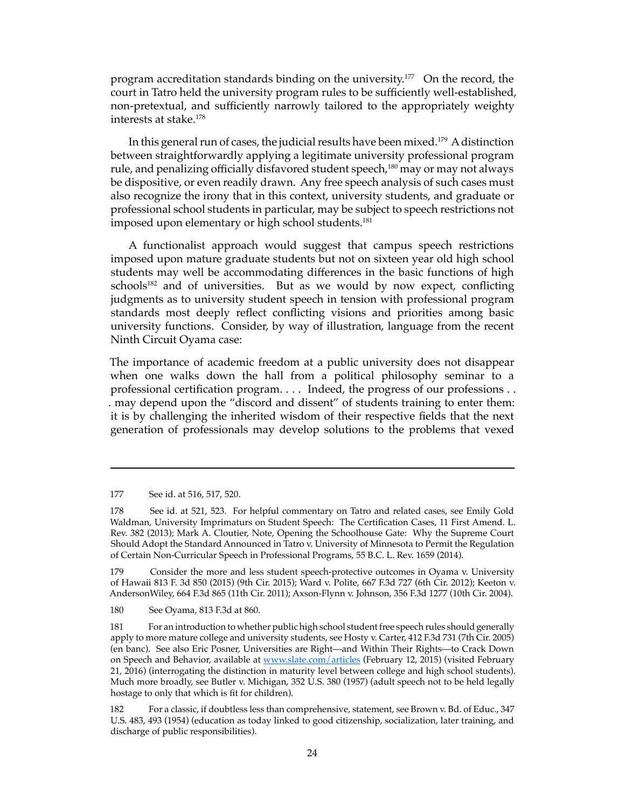program accreditation standards binding on the university.<sup>177</sup> On the record, the court in Tatro held the university program rules to be sufficiently well-established, non-pretextual, and sufficiently narrowly tailored to the appropriately weighty interests at stake.<sup>178</sup>

In this general run of cases, the judicial results have been mixed.179 A distinction between straightforwardly applying a legitimate university professional program rule, and penalizing officially disfavored student speech,<sup>180</sup> may or may not always be dispositive, or even readily drawn. Any free speech analysis of such cases must also recognize the irony that in this context, university students, and graduate or professional school students in particular, may be subject to speech restrictions not imposed upon elementary or high school students.<sup>181</sup>

A functionalist approach would suggest that campus speech restrictions imposed upon mature graduate students but not on sixteen year old high school students may well be accommodating differences in the basic functions of high schools<sup>182</sup> and of universities. But as we would by now expect, conflicting judgments as to university student speech in tension with professional program standards most deeply reflect conflicting visions and priorities among basic university functions. Consider, by way of illustration, language from the recent Ninth Circuit Oyama case:

The importance of academic freedom at a public university does not disappear when one walks down the hall from a political philosophy seminar to a professional certification program. . . . Indeed, the progress of our professions . . . may depend upon the "discord and dissent" of students training to enter them: it is by challenging the inherited wisdom of their respective fields that the next generation of professionals may develop solutions to the problems that vexed

179 Consider the more and less student speech-protective outcomes in Oyama v. University of Hawaii 813 F. 3d 850 (2015) (9th Cir. 2015); Ward v. Polite, 667 F.3d 727 (6th Cir. 2012); Keeton v. AndersonWiley, 664 F.3d 865 (11th Cir. 2011); Axson-Flynn v. Johnson, 356 F.3d 1277 (10th Cir. 2004).

180 See Oyama, 813 F.3d at 860.

181 For an introduction to whether public high school student free speech rules should generally apply to more mature college and university students, see Hosty v. Carter, 412 F.3d 731 (7th Cir. 2005) (en banc). See also Eric Posner, Universities are Right—and Within Their Rights—to Crack Down on Speech and Behavior, available at [www.slate.com/articles](http://www.slate.com/articles) (February 12, 2015) (visited February 21, 2016) (interrogating the distinction in maturity level between college and high school students). Much more broadly, see Butler v. Michigan, 352 U.S. 380 (1957) (adult speech not to be held legally hostage to only that which is fit for children).

182 For a classic, if doubtless less than comprehensive, statement, see Brown v. Bd. of Educ., 347 U.S. 483, 493 (1954) (education as today linked to good citizenship, socialization, later training, and discharge of public responsibilities).

<sup>177</sup> See id. at 516, 517, 520.

<sup>178</sup> See id. at 521, 523. For helpful commentary on Tatro and related cases, see Emily Gold Waldman, University Imprimaturs on Student Speech: The Certification Cases, 11 First Amend. L. Rev. 382 (2013); Mark A. Cloutier, Note, Opening the Schoolhouse Gate: Why the Supreme Court Should Adopt the Standard Announced in Tatro v. University of Minnesota to Permit the Regulation of Certain Non-Curricular Speech in Professional Programs, 55 B.C. L. Rev. 1659 (2014).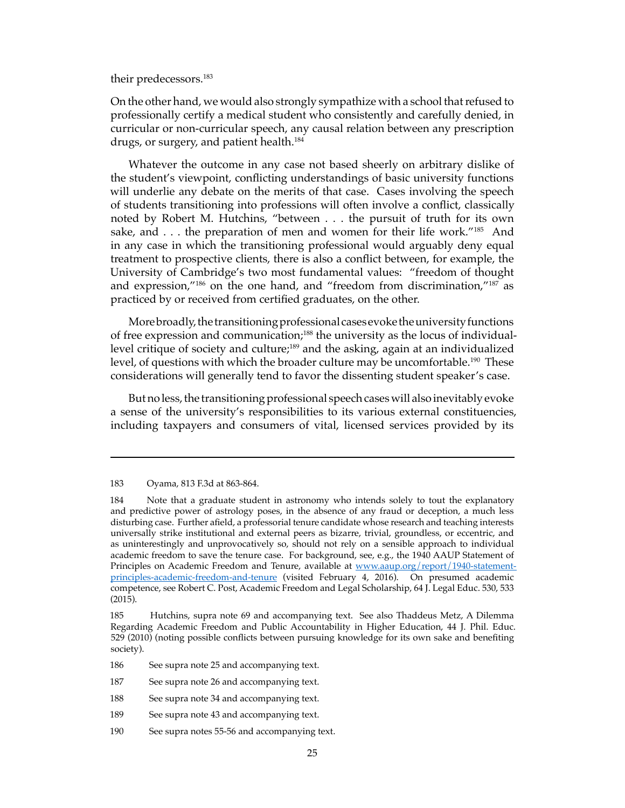their predecessors.<sup>183</sup>

On the other hand, we would also strongly sympathize with a school that refused to professionally certify a medical student who consistently and carefully denied, in curricular or non-curricular speech, any causal relation between any prescription drugs, or surgery, and patient health.<sup>184</sup>

Whatever the outcome in any case not based sheerly on arbitrary dislike of the student's viewpoint, conflicting understandings of basic university functions will underlie any debate on the merits of that case. Cases involving the speech of students transitioning into professions will often involve a conflict, classically noted by Robert M. Hutchins, "between . . . the pursuit of truth for its own sake, and . . . the preparation of men and women for their life work."<sup>185</sup> And in any case in which the transitioning professional would arguably deny equal treatment to prospective clients, there is also a conflict between, for example, the University of Cambridge's two most fundamental values: "freedom of thought and expression,"<sup>186</sup> on the one hand, and "freedom from discrimination,"187 as practiced by or received from certified graduates, on the other.

More broadly, the transitioning professional cases evoke the university functions of free expression and communication;188 the university as the locus of individuallevel critique of society and culture;<sup>189</sup> and the asking, again at an individualized level, of questions with which the broader culture may be uncomfortable.<sup>190</sup> These considerations will generally tend to favor the dissenting student speaker's case.

But no less, the transitioning professional speech cases will also inevitably evoke a sense of the university's responsibilities to its various external constituencies, including taxpayers and consumers of vital, licensed services provided by its

#### 183 Oyama, 813 F.3d at 863-864.

- 186 See supra note 25 and accompanying text.
- 187 See supra note 26 and accompanying text.
- 188 See supra note 34 and accompanying text.
- 189 See supra note 43 and accompanying text.
- 190 See supra notes 55-56 and accompanying text.

<sup>184</sup> Note that a graduate student in astronomy who intends solely to tout the explanatory and predictive power of astrology poses, in the absence of any fraud or deception, a much less disturbing case. Further afield, a professorial tenure candidate whose research and teaching interests universally strike institutional and external peers as bizarre, trivial, groundless, or eccentric, and as uninterestingly and unprovocatively so, should not rely on a sensible approach to individual academic freedom to save the tenure case. For background, see, e.g., the 1940 AAUP Statement of Principles on Academic Freedom and Tenure, available at [www.aaup.org/report/1940-statement](http://www.aaup.org/report/1940-statement-principles-academic-freedom-and-tenure)[principles-academic-freedom-and-tenure](http://www.aaup.org/report/1940-statement-principles-academic-freedom-and-tenure) (visited February 4, 2016). On presumed academic competence, see Robert C. Post, Academic Freedom and Legal Scholarship, 64 J. Legal Educ. 530, 533  $(2015).$ 

<sup>185</sup> Hutchins, supra note 69 and accompanying text. See also Thaddeus Metz, A Dilemma Regarding Academic Freedom and Public Accountability in Higher Education, 44 J. Phil. Educ. 529 (2010) (noting possible conflicts between pursuing knowledge for its own sake and benefiting society).